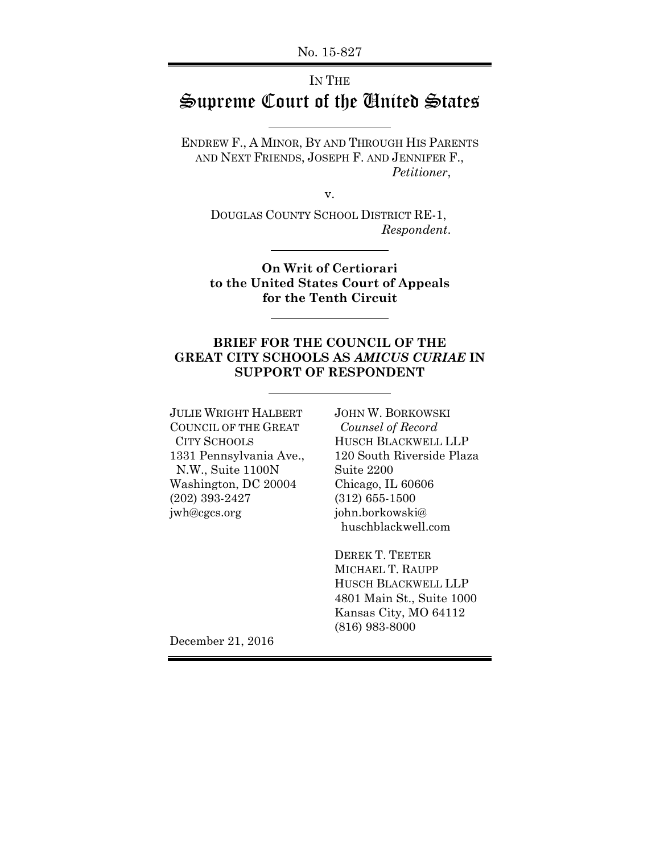No. 15-827

## IN THE Supreme Court of the United States

ENDREW F., A MINOR, BY AND THROUGH HIS PARENTS AND NEXT FRIENDS, JOSEPH F. AND JENNIFER F., *Petitioner*,

v.

DOUGLAS COUNTY SCHOOL DISTRICT RE-1, *Respondent*.

 $\overline{a}$ 

 $\overline{a}$ 

 $\overline{a}$ 

**On Writ of Certiorari to the United States Court of Appeals for the Tenth Circuit** 

#### **BRIEF FOR THE COUNCIL OF THE GREAT CITY SCHOOLS AS** *AMICUS CURIAE* **IN SUPPORT OF RESPONDENT**

JULIE WRIGHT HALBERT JOHN W. BORKOWSKI COUNCIL OF THE GREAT *Counsel of Record*  N.W., Suite 1100N Suite 2200 Washington, DC 20004 Chicago, IL 60606 (202) 393-2427 (312) 655-1500 jwh@cgcs.org john.borkowski@

 CITY SCHOOLS HUSCH BLACKWELL LLP 1331 Pennsylvania Ave., 120 South Riverside Plaza huschblackwell.com

> DEREK T. TEETER MICHAEL T. RAUPP HUSCH BLACKWELL LLP 4801 Main St., Suite 1000 Kansas City, MO 64112 (816) 983-8000

December 21, 2016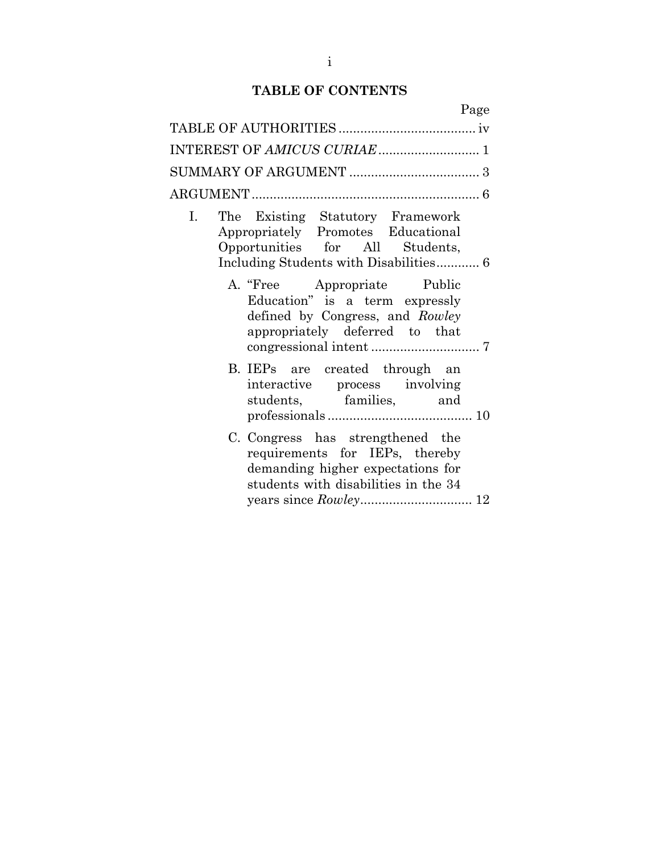## **TABLE OF CONTENTS**

| Page                                                                                                                                                                  |
|-----------------------------------------------------------------------------------------------------------------------------------------------------------------------|
|                                                                                                                                                                       |
|                                                                                                                                                                       |
|                                                                                                                                                                       |
|                                                                                                                                                                       |
| The Existing Statutory Framework<br>$\mathbf{I}$ .<br>Appropriately Promotes Educational<br>Opportunities for All Students,<br>Including Students with Disabilities 6 |
| A. "Free Appropriate Public<br>Education" is a term expressly<br>defined by Congress, and Rowley<br>appropriately deferred to that                                    |
| B. IEPs are created through an<br>interactive process involving<br>students, families, and                                                                            |
| C. Congress has strengthened the<br>requirements for IEPs, thereby<br>demanding higher expectations for<br>students with disabilities in the 34                       |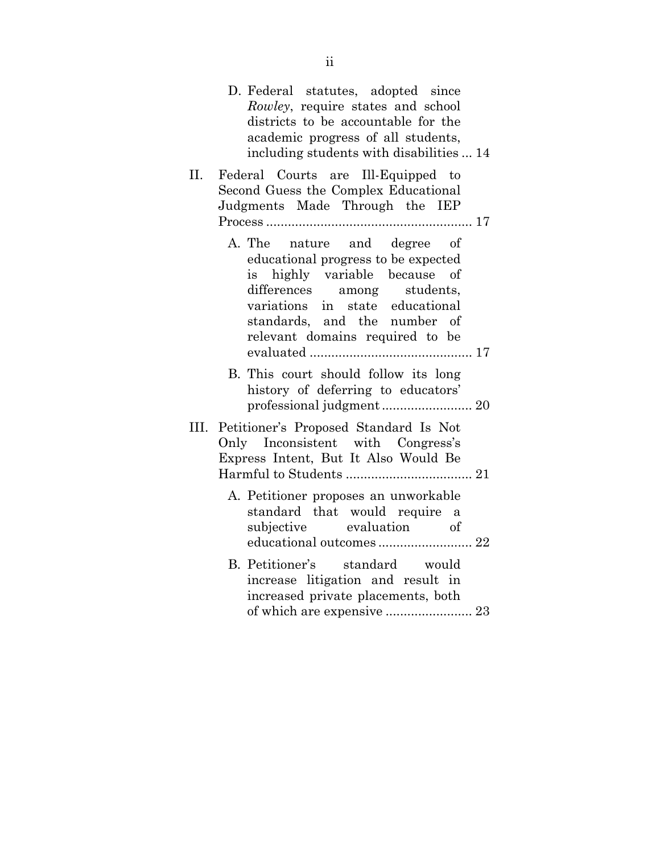|      | D. Federal statutes, adopted since<br>Rowley, require states and school<br>districts to be accountable for the<br>academic progress of all students,<br>including students with disabilities  14                                         |
|------|------------------------------------------------------------------------------------------------------------------------------------------------------------------------------------------------------------------------------------------|
| П.   | Federal Courts are Ill-Equipped to<br>Second Guess the Complex Educational<br>Judgments Made Through the IEP                                                                                                                             |
|      | A. The nature and degree of<br>educational progress to be expected<br>is highly variable because of<br>differences among students,<br>variations in state educational<br>standards, and the number of<br>relevant domains required to be |
|      | B. This court should follow its long<br>history of deferring to educators'                                                                                                                                                               |
| III. | Petitioner's Proposed Standard Is Not<br>Only Inconsistent with Congress's<br>Express Intent, But It Also Would Be                                                                                                                       |
|      | A. Petitioner proposes an unworkable<br>standard that would require a<br>subjective evaluation of                                                                                                                                        |
|      | B. Petitioner's standard would<br>increase litigation and result in<br>increased private placements, both<br>of which are expensive  23                                                                                                  |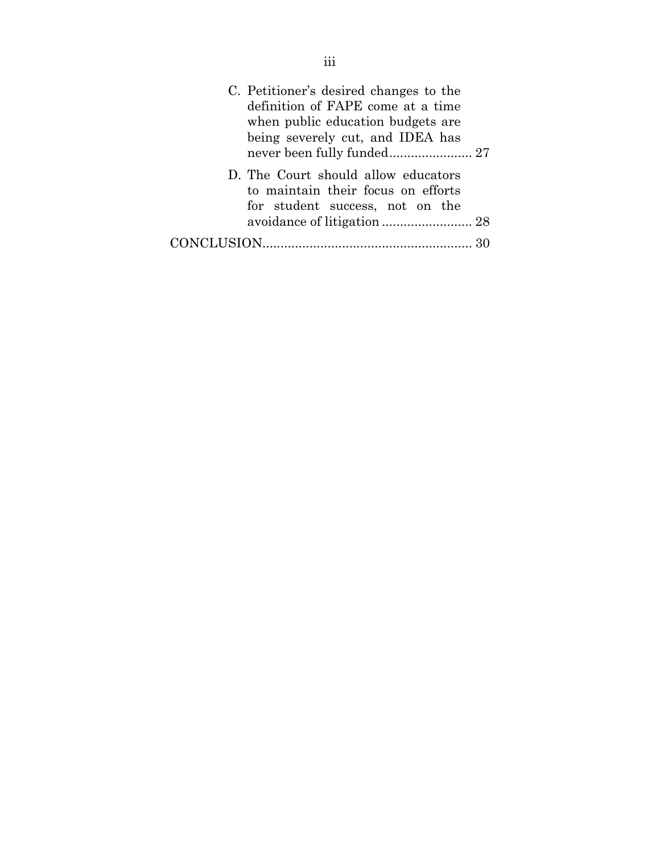| C. Petitioner's desired changes to the<br>definition of FAPE come at a time<br>when public education budgets are<br>being severely cut, and IDEA has<br>never been fully funded 27 |  |
|------------------------------------------------------------------------------------------------------------------------------------------------------------------------------------|--|
| D. The Court should allow educators<br>to maintain their focus on efforts<br>for student success, not on the                                                                       |  |
|                                                                                                                                                                                    |  |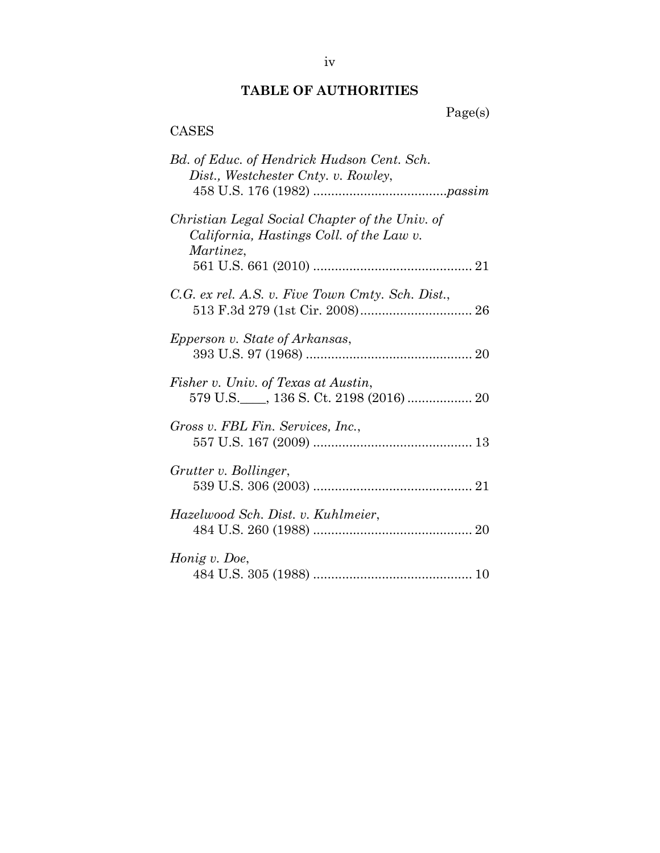## **TABLE OF AUTHORITIES**

Page(s)

# CASES

| Bd. of Educ. of Hendrick Hudson Cent. Sch.<br>Dist., Westchester Cnty. v. Rowley,                       |
|---------------------------------------------------------------------------------------------------------|
| Christian Legal Social Chapter of the Univ. of<br>California, Hastings Coll. of the Law v.<br>Martinez, |
| C.G. ex rel. A.S. v. Five Town Cmty. Sch. Dist.,                                                        |
| Epperson v. State of Arkansas,                                                                          |
| Fisher v. Univ. of Texas at Austin,                                                                     |
| Gross v. FBL Fin. Services, Inc.,                                                                       |
| Grutter v. Bollinger,                                                                                   |
| Hazelwood Sch. Dist. v. Kuhlmeier,                                                                      |
| Honig v. Doe,                                                                                           |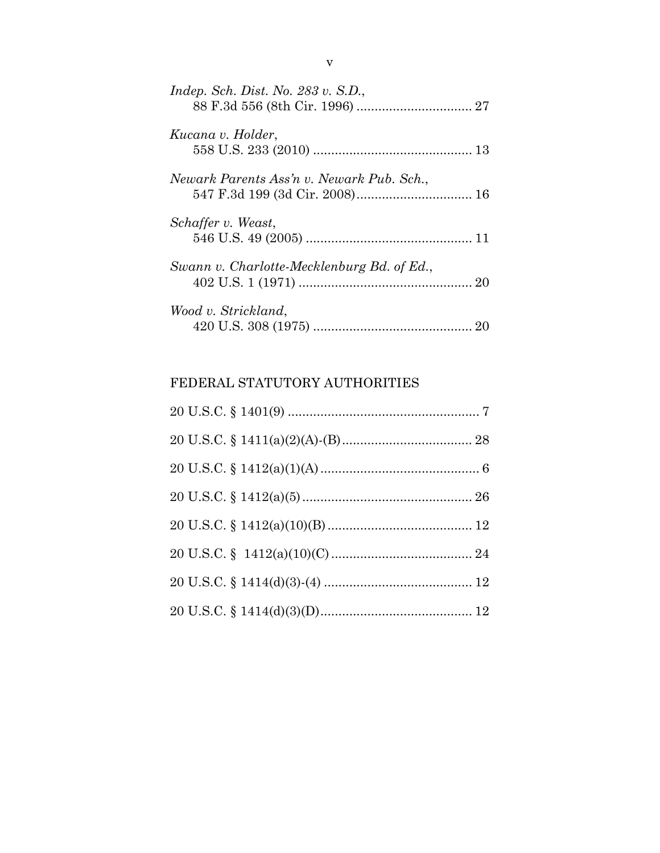| Indep. Sch. Dist. No. $283 v$ . S.D.,      |
|--------------------------------------------|
| Kucana v. Holder,                          |
| Newark Parents Ass'n v. Newark Pub. Sch.,  |
| Schaffer v. Weast,                         |
| Swann v. Charlotte-Mecklenburg Bd. of Ed., |
| Wood v. Strickland,                        |

## FEDERAL STATUTORY AUTHORITIES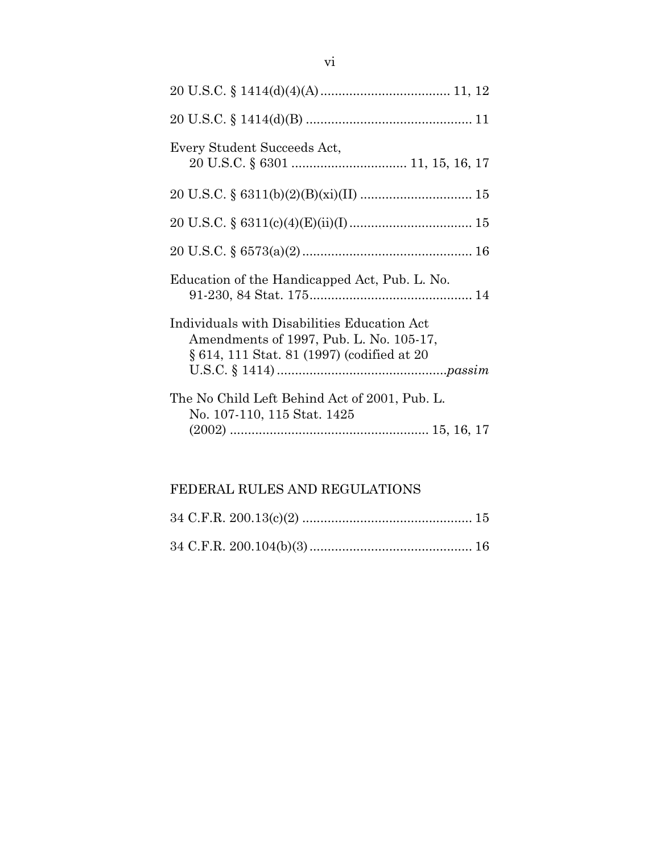| Every Student Succeeds Act,                                                                                                          |
|--------------------------------------------------------------------------------------------------------------------------------------|
|                                                                                                                                      |
|                                                                                                                                      |
|                                                                                                                                      |
| Education of the Handicapped Act, Pub. L. No.                                                                                        |
| Individuals with Disabilities Education Act<br>Amendments of 1997, Pub. L. No. 105-17,<br>§ 614, 111 Stat. 81 (1997) (codified at 20 |
| The No Child Left Behind Act of 2001, Pub. L.<br>No. 107-110, 115 Stat. 1425                                                         |

## FEDERAL RULES AND REGULATIONS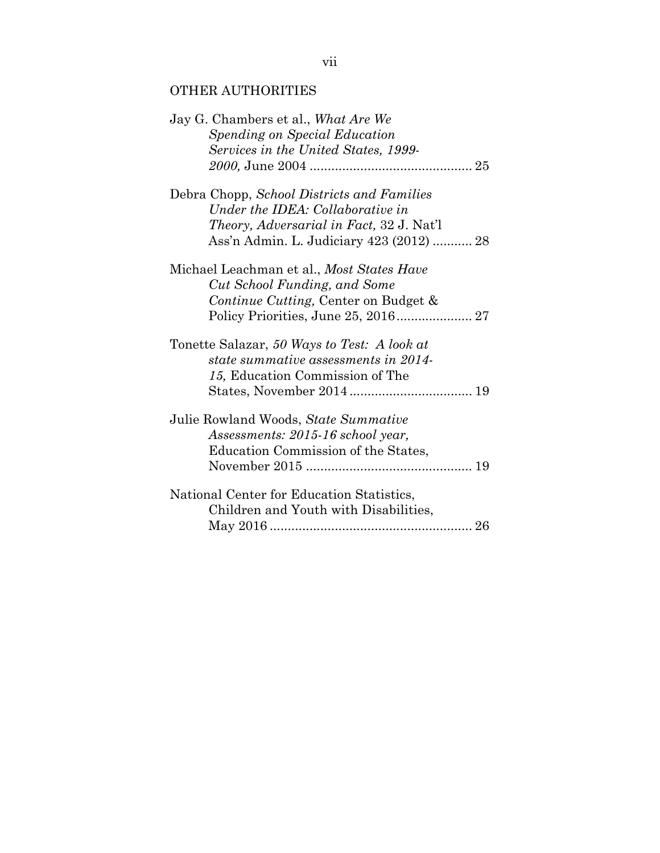## OTHER AUTHORITIES

| Jay G. Chambers et al., What Are We<br>Spending on Special Education |
|----------------------------------------------------------------------|
| Services in the United States, 1999-                                 |
|                                                                      |
| Debra Chopp, School Districts and Families                           |
| Under the IDEA: Collaborative in                                     |
| <i>Theory, Adversarial in Fact, 32 J. Nat'l</i>                      |
| Ass'n Admin. L. Judiciary 423 (2012)  28                             |
| Michael Leachman et al., Most States Have                            |
| Cut School Funding, and Some                                         |
| Continue Cutting, Center on Budget &                                 |
|                                                                      |
| Tonette Salazar, 50 Ways to Test: A look at                          |
| state summative assessments in 2014-                                 |
| 15, Education Commission of The                                      |
|                                                                      |
| Julie Rowland Woods, State Summative                                 |
| Assessments: 2015-16 school year,                                    |
| Education Commission of the States,                                  |
|                                                                      |
| National Center for Education Statistics,                            |
| Children and Youth with Disabilities,                                |
|                                                                      |
|                                                                      |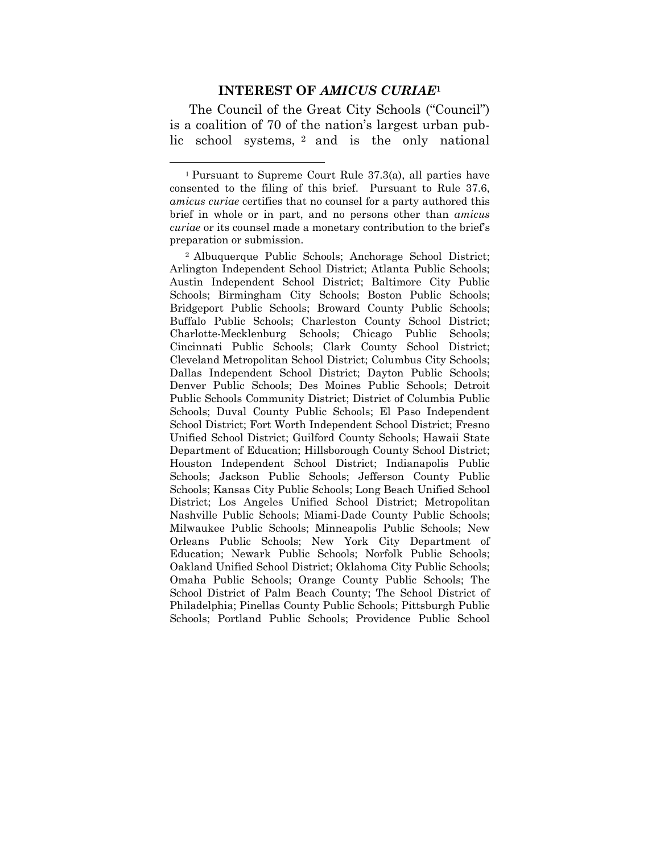#### **INTEREST OF** *AMICUS CURIAE***<sup>1</sup>**

 The Council of the Great City Schools ("Council") is a coalition of 70 of the nation's largest urban public school systems, 2 and is the only national

 $\overline{a}$ 

2 Albuquerque Public Schools; Anchorage School District; Arlington Independent School District; Atlanta Public Schools; Austin Independent School District; Baltimore City Public Schools; Birmingham City Schools; Boston Public Schools; Bridgeport Public Schools; Broward County Public Schools; Buffalo Public Schools; Charleston County School District; Charlotte-Mecklenburg Schools; Chicago Public Schools; Cincinnati Public Schools; Clark County School District; Cleveland Metropolitan School District; Columbus City Schools; Dallas Independent School District; Dayton Public Schools; Denver Public Schools; Des Moines Public Schools; Detroit Public Schools Community District; District of Columbia Public Schools; Duval County Public Schools; El Paso Independent School District; Fort Worth Independent School District; Fresno Unified School District; Guilford County Schools; Hawaii State Department of Education; Hillsborough County School District; Houston Independent School District; Indianapolis Public Schools; Jackson Public Schools; Jefferson County Public Schools; Kansas City Public Schools; Long Beach Unified School District; Los Angeles Unified School District; Metropolitan Nashville Public Schools; Miami-Dade County Public Schools; Milwaukee Public Schools; Minneapolis Public Schools; New Orleans Public Schools; New York City Department of Education; Newark Public Schools; Norfolk Public Schools; Oakland Unified School District; Oklahoma City Public Schools; Omaha Public Schools; Orange County Public Schools; The School District of Palm Beach County; The School District of Philadelphia; Pinellas County Public Schools; Pittsburgh Public Schools; Portland Public Schools; Providence Public School

<sup>1</sup> Pursuant to Supreme Court Rule 37.3(a), all parties have consented to the filing of this brief. Pursuant to Rule 37.6, *amicus curiae* certifies that no counsel for a party authored this brief in whole or in part, and no persons other than *amicus curiae* or its counsel made a monetary contribution to the brief's preparation or submission.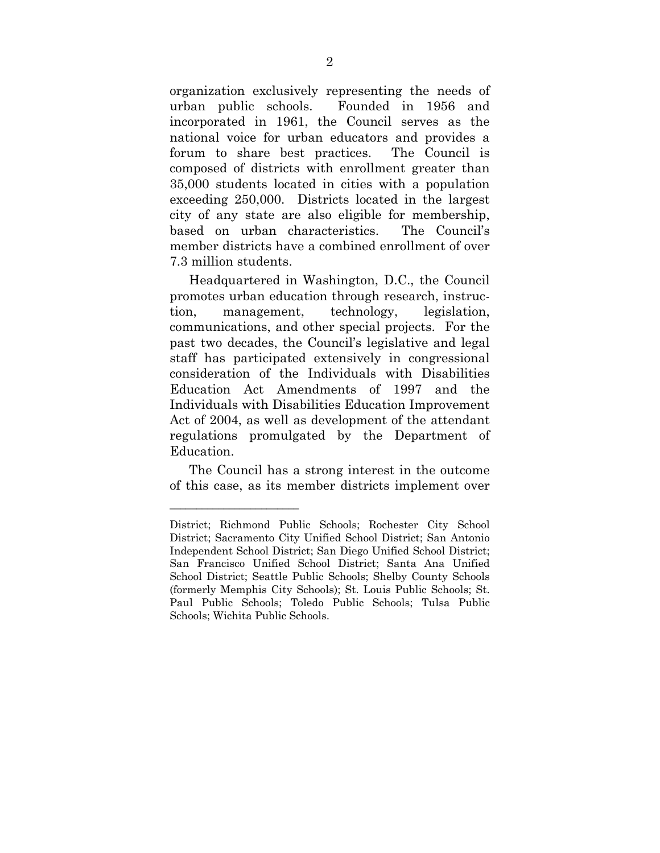organization exclusively representing the needs of urban public schools. Founded in 1956 and incorporated in 1961, the Council serves as the national voice for urban educators and provides a forum to share best practices. The Council is composed of districts with enrollment greater than 35,000 students located in cities with a population exceeding 250,000. Districts located in the largest city of any state are also eligible for membership, based on urban characteristics. The Council's member districts have a combined enrollment of over 7.3 million students.

 Headquartered in Washington, D.C., the Council promotes urban education through research, instruction, management, technology, legislation, communications, and other special projects. For the past two decades, the Council's legislative and legal staff has participated extensively in congressional consideration of the Individuals with Disabilities Education Act Amendments of 1997 and the Individuals with Disabilities Education Improvement Act of 2004, as well as development of the attendant regulations promulgated by the Department of Education.

 The Council has a strong interest in the outcome of this case, as its member districts implement over

*\_\_\_\_\_\_\_\_\_\_\_\_\_\_\_\_\_\_\_\_\_\_\_\_* 

District; Richmond Public Schools; Rochester City School District; Sacramento City Unified School District; San Antonio Independent School District; San Diego Unified School District; San Francisco Unified School District; Santa Ana Unified School District; Seattle Public Schools; Shelby County Schools (formerly Memphis City Schools); St. Louis Public Schools; St. Paul Public Schools; Toledo Public Schools; Tulsa Public Schools; Wichita Public Schools.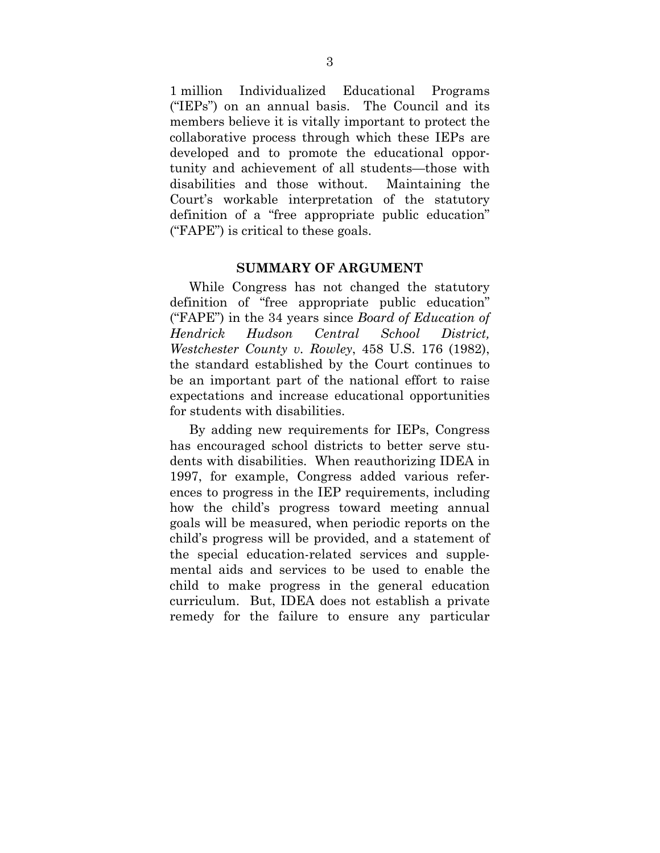1 million Individualized Educational Programs ("IEPs") on an annual basis. The Council and its members believe it is vitally important to protect the collaborative process through which these IEPs are developed and to promote the educational opportunity and achievement of all students—those with disabilities and those without. Maintaining the Court's workable interpretation of the statutory definition of a "free appropriate public education" ("FAPE") is critical to these goals.

#### **SUMMARY OF ARGUMENT**

 While Congress has not changed the statutory definition of "free appropriate public education" ("FAPE") in the 34 years since *Board of Education of Hendrick Hudson Central School District, Westchester County v. Rowley*, 458 U.S. 176 (1982), the standard established by the Court continues to be an important part of the national effort to raise expectations and increase educational opportunities for students with disabilities.

 By adding new requirements for IEPs, Congress has encouraged school districts to better serve students with disabilities. When reauthorizing IDEA in 1997, for example, Congress added various references to progress in the IEP requirements, including how the child's progress toward meeting annual goals will be measured, when periodic reports on the child's progress will be provided, and a statement of the special education-related services and supplemental aids and services to be used to enable the child to make progress in the general education curriculum. But, IDEA does not establish a private remedy for the failure to ensure any particular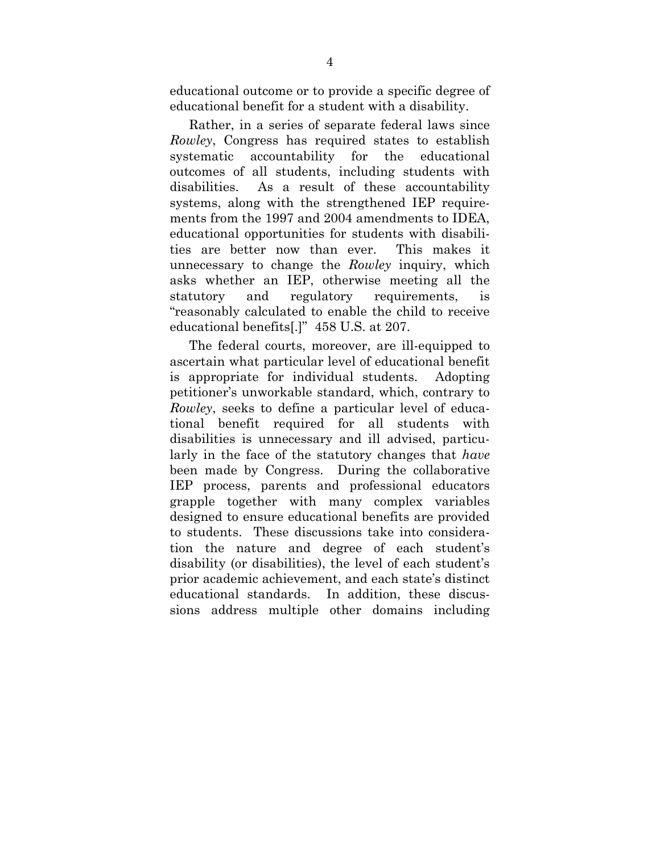educational outcome or to provide a specific degree of educational benefit for a student with a disability.

 Rather, in a series of separate federal laws since *Rowley*, Congress has required states to establish systematic accountability for the educational outcomes of all students, including students with disabilities. As a result of these accountability systems, along with the strengthened IEP requirements from the 1997 and 2004 amendments to IDEA, educational opportunities for students with disabilities are better now than ever. This makes it unnecessary to change the *Rowley* inquiry, which asks whether an IEP, otherwise meeting all the statutory and regulatory requirements, is "reasonably calculated to enable the child to receive educational benefits[.]" 458 U.S. at 207.

The federal courts, moreover, are ill-equipped to ascertain what particular level of educational benefit is appropriate for individual students. Adopting petitioner's unworkable standard, which, contrary to *Rowley*, seeks to define a particular level of educational benefit required for all students with disabilities is unnecessary and ill advised, particularly in the face of the statutory changes that *have* been made by Congress. During the collaborative IEP process, parents and professional educators grapple together with many complex variables designed to ensure educational benefits are provided to students. These discussions take into consideration the nature and degree of each student's disability (or disabilities), the level of each student's prior academic achievement, and each state's distinct educational standards. In addition, these discussions address multiple other domains including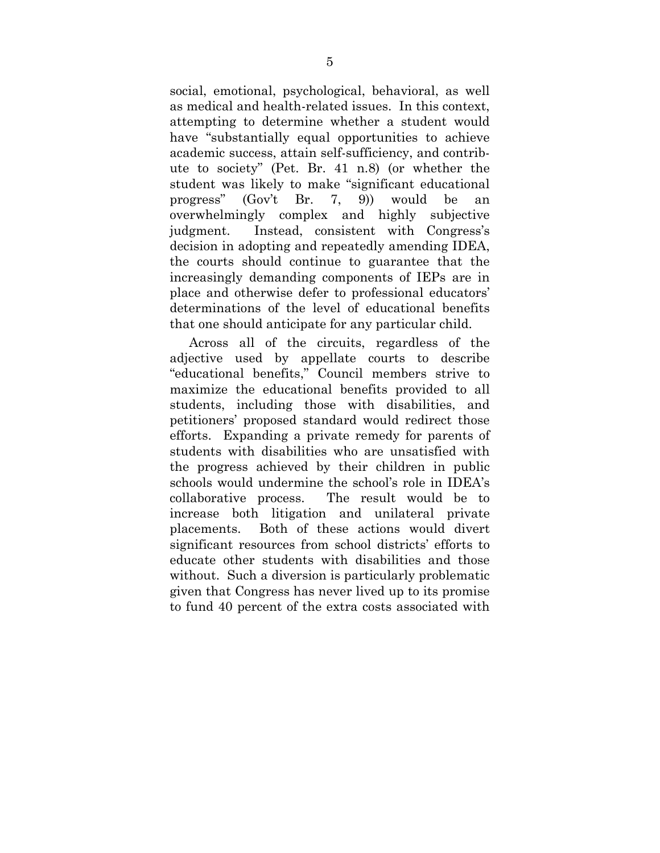social, emotional, psychological, behavioral, as well as medical and health-related issues. In this context, attempting to determine whether a student would have "substantially equal opportunities to achieve academic success, attain self-sufficiency, and contribute to society" (Pet. Br. 41 n.8) (or whether the student was likely to make "significant educational progress" (Gov't Br. 7, 9)) would be an overwhelmingly complex and highly subjective judgment. Instead, consistent with Congress's decision in adopting and repeatedly amending IDEA, the courts should continue to guarantee that the increasingly demanding components of IEPs are in place and otherwise defer to professional educators' determinations of the level of educational benefits that one should anticipate for any particular child.

Across all of the circuits, regardless of the adjective used by appellate courts to describe "educational benefits," Council members strive to maximize the educational benefits provided to all students, including those with disabilities, and petitioners' proposed standard would redirect those efforts. Expanding a private remedy for parents of students with disabilities who are unsatisfied with the progress achieved by their children in public schools would undermine the school's role in IDEA's collaborative process. The result would be to increase both litigation and unilateral private placements. Both of these actions would divert significant resources from school districts' efforts to educate other students with disabilities and those without. Such a diversion is particularly problematic given that Congress has never lived up to its promise to fund 40 percent of the extra costs associated with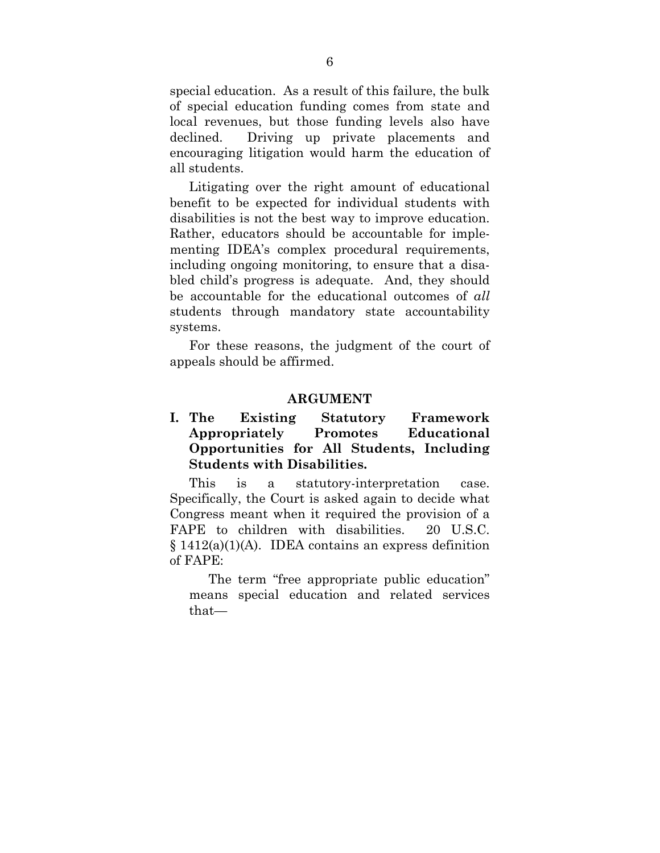special education. As a result of this failure, the bulk of special education funding comes from state and local revenues, but those funding levels also have declined. Driving up private placements and encouraging litigation would harm the education of all students.

Litigating over the right amount of educational benefit to be expected for individual students with disabilities is not the best way to improve education. Rather, educators should be accountable for implementing IDEA's complex procedural requirements, including ongoing monitoring, to ensure that a disabled child's progress is adequate. And, they should be accountable for the educational outcomes of *all* students through mandatory state accountability systems.

For these reasons, the judgment of the court of appeals should be affirmed.

#### **ARGUMENT**

### **I. The Existing Statutory Framework Appropriately Promotes Educational Opportunities for All Students, Including Students with Disabilities.**

This is a statutory-interpretation case. Specifically, the Court is asked again to decide what Congress meant when it required the provision of a FAPE to children with disabilities. 20 U.S.C. § 1412(a)(1)(A). IDEA contains an express definition of FAPE:

The term "free appropriate public education" means special education and related services that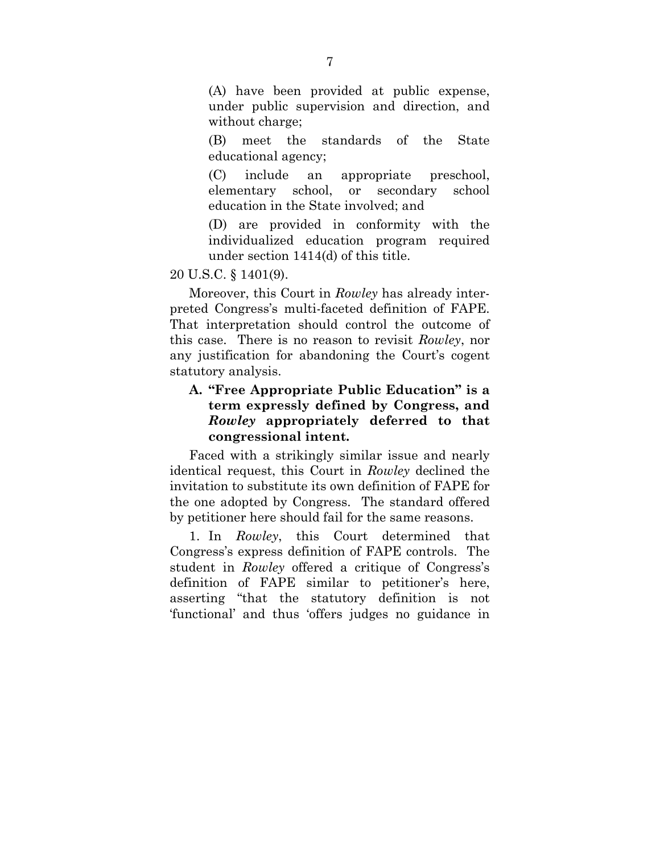(A) have been provided at public expense, under public supervision and direction, and without charge;

(B) meet the standards of the State educational agency;

(C) include an appropriate preschool, elementary school, or secondary school education in the State involved; and

(D) are provided in conformity with the individualized education program required under section 1414(d) of this title.

#### 20 U.S.C. § 1401(9).

Moreover, this Court in *Rowley* has already interpreted Congress's multi-faceted definition of FAPE. That interpretation should control the outcome of this case. There is no reason to revisit *Rowley*, nor any justification for abandoning the Court's cogent statutory analysis.

### **A. "Free Appropriate Public Education" is a term expressly defined by Congress, and**  *Rowley* **appropriately deferred to that congressional intent.**

Faced with a strikingly similar issue and nearly identical request, this Court in *Rowley* declined the invitation to substitute its own definition of FAPE for the one adopted by Congress. The standard offered by petitioner here should fail for the same reasons.

1. In *Rowley*, this Court determined that Congress's express definition of FAPE controls. The student in *Rowley* offered a critique of Congress's definition of FAPE similar to petitioner's here, asserting "that the statutory definition is not 'functional' and thus 'offers judges no guidance in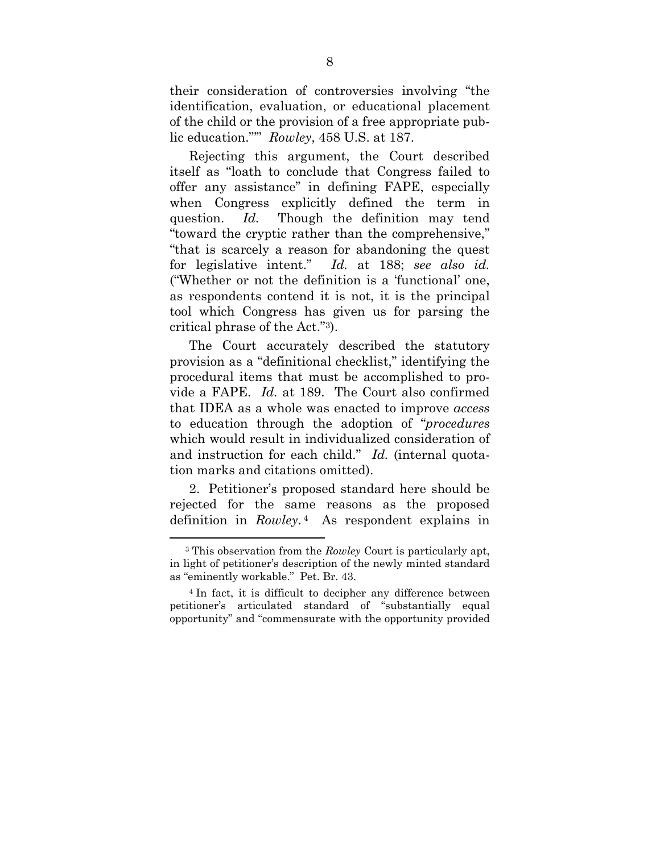their consideration of controversies involving "the identification, evaluation, or educational placement of the child or the provision of a free appropriate public education."'" *Rowley*, 458 U.S. at 187.

Rejecting this argument, the Court described itself as "loath to conclude that Congress failed to offer any assistance" in defining FAPE, especially when Congress explicitly defined the term in question. *Id.* Though the definition may tend "toward the cryptic rather than the comprehensive," "that is scarcely a reason for abandoning the quest for legislative intent." *Id.* at 188; *see also id.* ("Whether or not the definition is a 'functional' one, as respondents contend it is not, it is the principal tool which Congress has given us for parsing the critical phrase of the Act."3).

The Court accurately described the statutory provision as a "definitional checklist," identifying the procedural items that must be accomplished to provide a FAPE. *Id.* at 189. The Court also confirmed that IDEA as a whole was enacted to improve *access* to education through the adoption of "*procedures* which would result in individualized consideration of and instruction for each child." *Id.* (internal quotation marks and citations omitted).

2. Petitioner's proposed standard here should be rejected for the same reasons as the proposed definition in *Rowley*. 4 As respondent explains in

1

<sup>3</sup> This observation from the *Rowley* Court is particularly apt, in light of petitioner's description of the newly minted standard as "eminently workable." Pet. Br. 43.

<sup>4</sup> In fact, it is difficult to decipher any difference between petitioner's articulated standard of "substantially equal opportunity" and "commensurate with the opportunity provided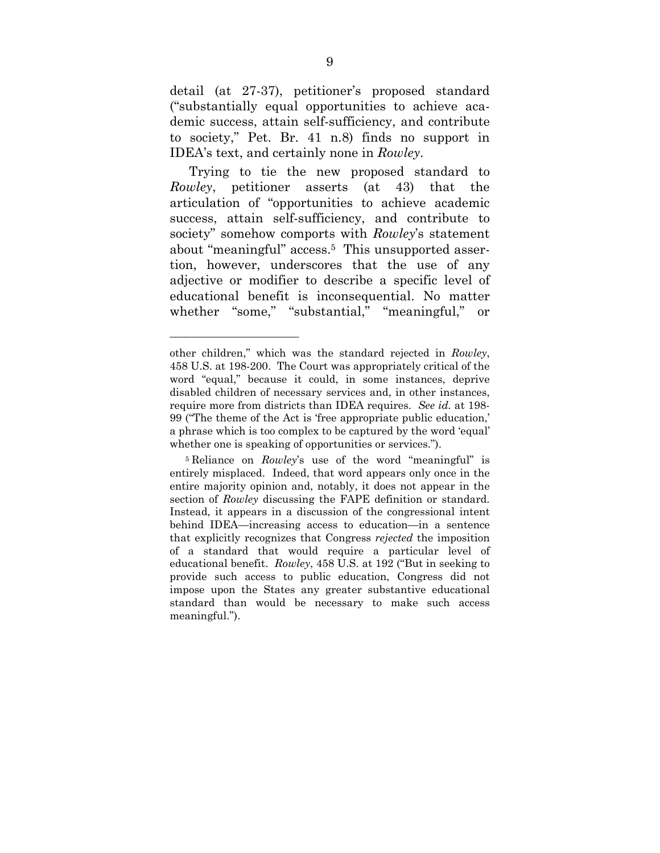detail (at 27-37), petitioner's proposed standard ("substantially equal opportunities to achieve academic success, attain self-sufficiency, and contribute to society," Pet. Br. 41 n.8) finds no support in IDEA's text, and certainly none in *Rowley*.

Trying to tie the new proposed standard to *Rowley*, petitioner asserts (at 43) that the articulation of "opportunities to achieve academic success, attain self-sufficiency, and contribute to society" somehow comports with *Rowley*'s statement about "meaningful" access.5 This unsupported assertion, however, underscores that the use of any adjective or modifier to describe a specific level of educational benefit is inconsequential. No matter whether "some," "substantial," "meaningful," or

*\_\_\_\_\_\_\_\_\_\_\_\_\_\_\_\_\_\_\_\_\_\_\_\_* 

other children," which was the standard rejected in *Rowley*, 458 U.S. at 198-200. The Court was appropriately critical of the word "equal," because it could, in some instances, deprive disabled children of necessary services and, in other instances, require more from districts than IDEA requires. *See id.* at 198- 99 ("The theme of the Act is 'free appropriate public education,' a phrase which is too complex to be captured by the word 'equal' whether one is speaking of opportunities or services.").

<sup>5</sup> Reliance on *Rowley*'s use of the word "meaningful" is entirely misplaced. Indeed, that word appears only once in the entire majority opinion and, notably, it does not appear in the section of *Rowley* discussing the FAPE definition or standard. Instead, it appears in a discussion of the congressional intent behind IDEA—increasing access to education—in a sentence that explicitly recognizes that Congress *rejected* the imposition of a standard that would require a particular level of educational benefit. *Rowley*, 458 U.S. at 192 ("But in seeking to provide such access to public education, Congress did not impose upon the States any greater substantive educational standard than would be necessary to make such access meaningful.").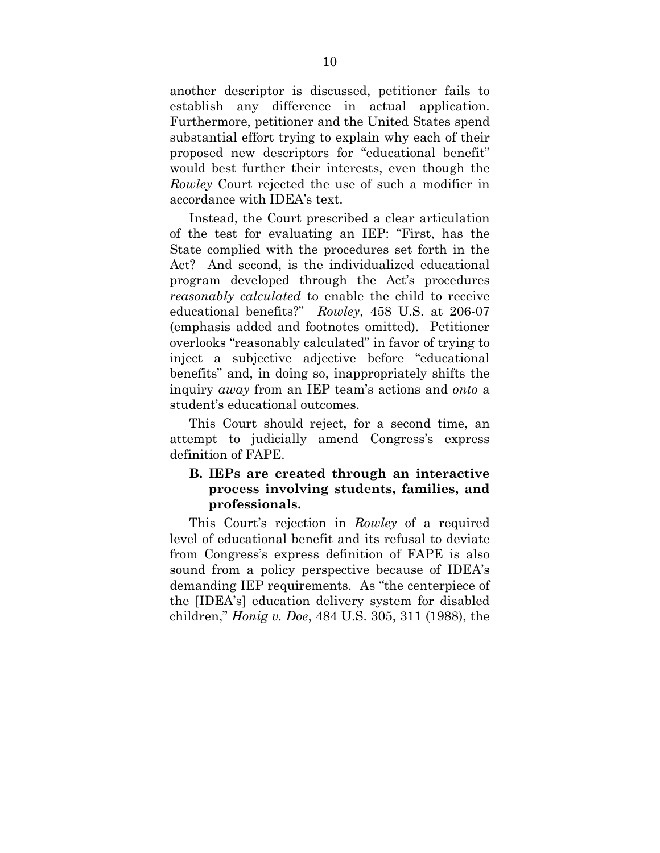another descriptor is discussed, petitioner fails to establish any difference in actual application. Furthermore, petitioner and the United States spend substantial effort trying to explain why each of their proposed new descriptors for "educational benefit" would best further their interests, even though the *Rowley* Court rejected the use of such a modifier in accordance with IDEA's text.

Instead, the Court prescribed a clear articulation of the test for evaluating an IEP: "First, has the State complied with the procedures set forth in the Act? And second, is the individualized educational program developed through the Act's procedures *reasonably calculated* to enable the child to receive educational benefits?" *Rowley*, 458 U.S. at 206-07 (emphasis added and footnotes omitted). Petitioner overlooks "reasonably calculated" in favor of trying to inject a subjective adjective before "educational benefits" and, in doing so, inappropriately shifts the inquiry *away* from an IEP team's actions and *onto* a student's educational outcomes.

This Court should reject, for a second time, an attempt to judicially amend Congress's express definition of FAPE.

### **B. IEPs are created through an interactive process involving students, families, and professionals.**

This Court's rejection in *Rowley* of a required level of educational benefit and its refusal to deviate from Congress's express definition of FAPE is also sound from a policy perspective because of IDEA's demanding IEP requirements. As "the centerpiece of the [IDEA's] education delivery system for disabled children," *Honig v. Doe*, 484 U.S. 305, 311 (1988), the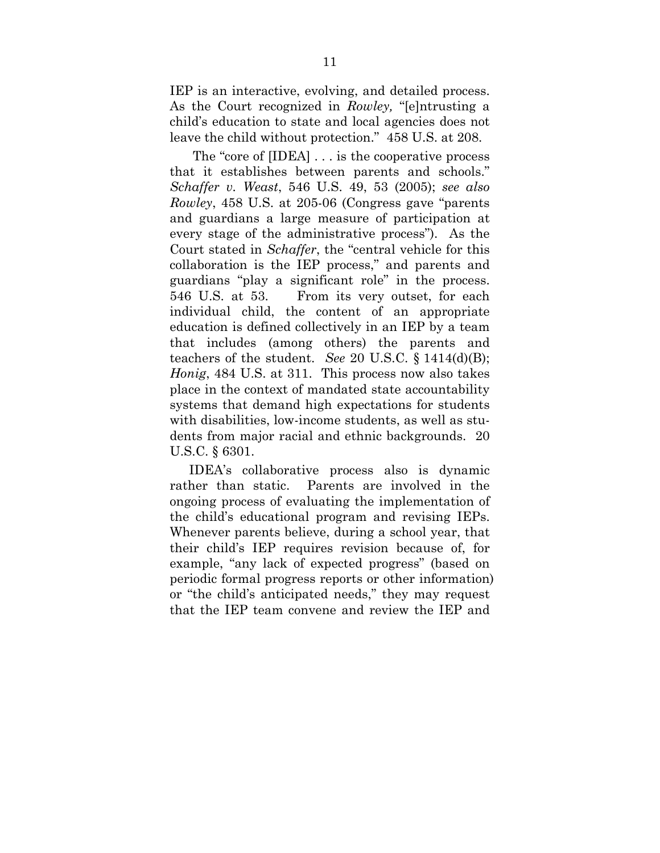IEP is an interactive, evolving, and detailed process. As the Court recognized in *Rowley,* "[e]ntrusting a child's education to state and local agencies does not leave the child without protection." 458 U.S. at 208.

 The "core of [IDEA] . . . is the cooperative process that it establishes between parents and schools." *Schaffer v. Weast*, 546 U.S. 49, 53 (2005); *see also Rowley*, 458 U.S. at 205-06 (Congress gave "parents and guardians a large measure of participation at every stage of the administrative process"). As the Court stated in *Schaffer*, the "central vehicle for this collaboration is the IEP process," and parents and guardians "play a significant role" in the process. 546 U.S. at 53. From its very outset, for each individual child, the content of an appropriate education is defined collectively in an IEP by a team that includes (among others) the parents and teachers of the student. *See* 20 U.S.C. § 1414(d)(B); *Honig*, 484 U.S. at 311. This process now also takes place in the context of mandated state accountability systems that demand high expectations for students with disabilities, low-income students, as well as students from major racial and ethnic backgrounds. 20 U.S.C. § 6301.

IDEA's collaborative process also is dynamic rather than static. Parents are involved in the ongoing process of evaluating the implementation of the child's educational program and revising IEPs. Whenever parents believe, during a school year, that their child's IEP requires revision because of, for example, "any lack of expected progress" (based on periodic formal progress reports or other information) or "the child's anticipated needs," they may request that the IEP team convene and review the IEP and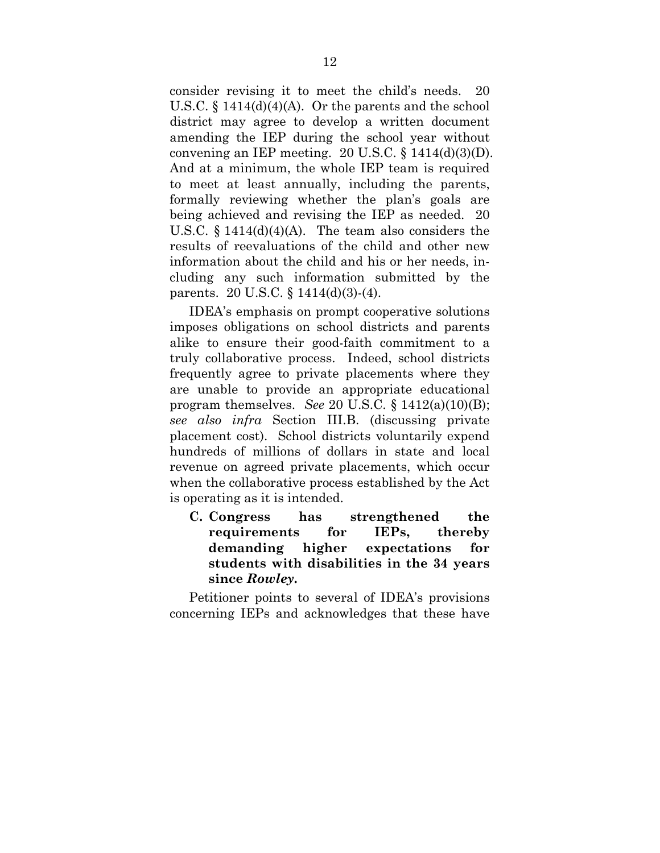consider revising it to meet the child's needs. 20 U.S.C.  $\S$  1414(d)(4)(A). Or the parents and the school district may agree to develop a written document amending the IEP during the school year without convening an IEP meeting.  $20$  U.S.C. § 1414(d)(3)(D). And at a minimum, the whole IEP team is required to meet at least annually, including the parents, formally reviewing whether the plan's goals are being achieved and revising the IEP as needed. 20 U.S.C.  $\S$  1414(d)(4)(A). The team also considers the results of reevaluations of the child and other new information about the child and his or her needs, including any such information submitted by the parents. 20 U.S.C. § 1414(d)(3)-(4).

IDEA's emphasis on prompt cooperative solutions imposes obligations on school districts and parents alike to ensure their good-faith commitment to a truly collaborative process. Indeed, school districts frequently agree to private placements where they are unable to provide an appropriate educational program themselves. *See* 20 U.S.C. § 1412(a)(10)(B); *see also infra* Section III.B. (discussing private placement cost). School districts voluntarily expend hundreds of millions of dollars in state and local revenue on agreed private placements, which occur when the collaborative process established by the Act is operating as it is intended.

 **C. Congress has strengthened the requirements for IEPs, thereby demanding higher expectations for students with disabilities in the 34 years since** *Rowley***.** 

Petitioner points to several of IDEA's provisions concerning IEPs and acknowledges that these have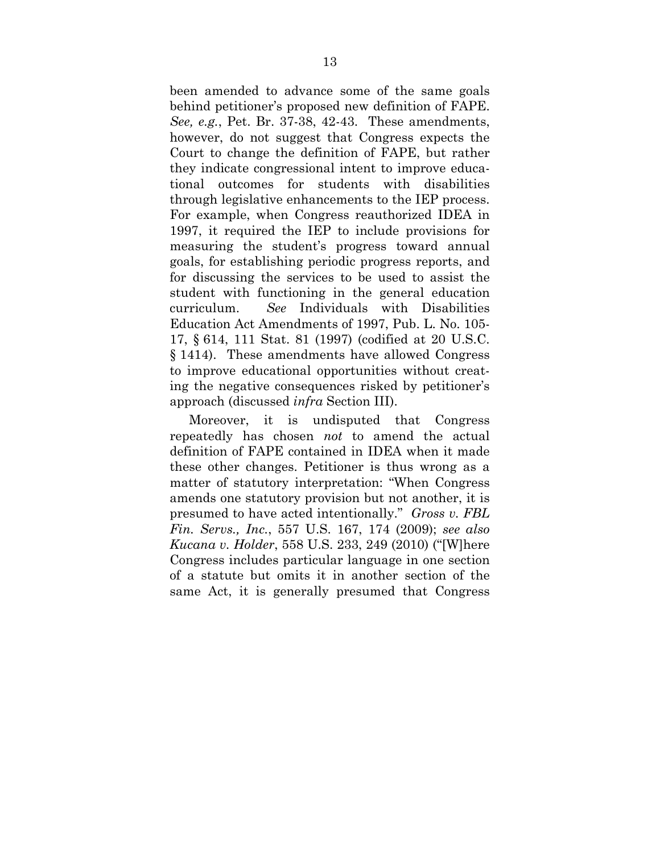been amended to advance some of the same goals behind petitioner's proposed new definition of FAPE. *See, e.g.*, Pet. Br. 37-38, 42-43. These amendments, however, do not suggest that Congress expects the Court to change the definition of FAPE, but rather they indicate congressional intent to improve educational outcomes for students with disabilities through legislative enhancements to the IEP process. For example, when Congress reauthorized IDEA in 1997, it required the IEP to include provisions for measuring the student's progress toward annual goals, for establishing periodic progress reports, and for discussing the services to be used to assist the student with functioning in the general education curriculum. *See* Individuals with Disabilities Education Act Amendments of 1997, Pub. L. No. 105- 17, § 614, 111 Stat. 81 (1997) (codified at 20 U.S.C. § 1414). These amendments have allowed Congress to improve educational opportunities without creating the negative consequences risked by petitioner's approach (discussed *infra* Section III).

Moreover, it is undisputed that Congress repeatedly has chosen *not* to amend the actual definition of FAPE contained in IDEA when it made these other changes. Petitioner is thus wrong as a matter of statutory interpretation: "When Congress amends one statutory provision but not another, it is presumed to have acted intentionally." *Gross v. FBL Fin. Servs., Inc.*, 557 U.S. 167, 174 (2009); *see also Kucana v. Holder*, 558 U.S. 233, 249 (2010) ("[W]here Congress includes particular language in one section of a statute but omits it in another section of the same Act, it is generally presumed that Congress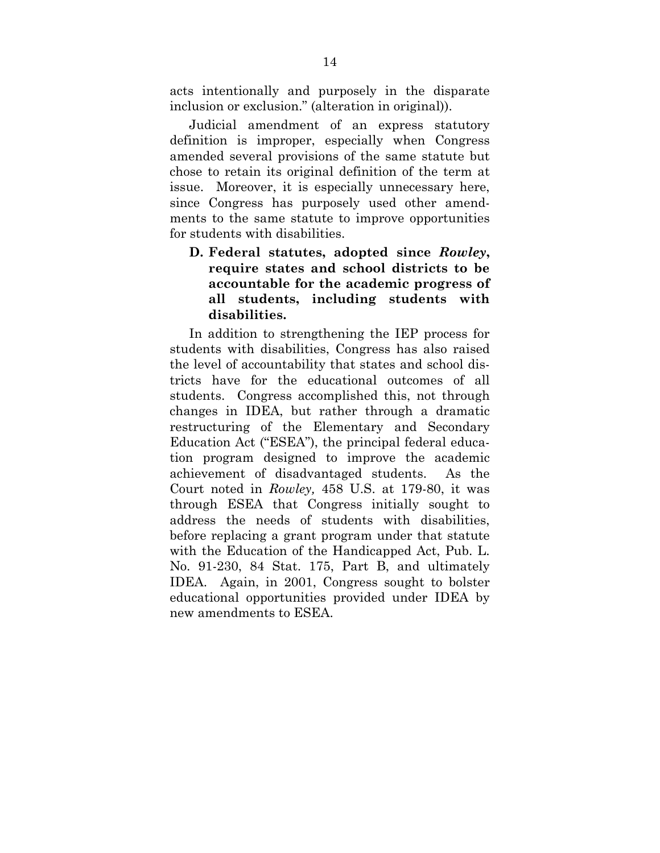acts intentionally and purposely in the disparate inclusion or exclusion." (alteration in original)).

Judicial amendment of an express statutory definition is improper, especially when Congress amended several provisions of the same statute but chose to retain its original definition of the term at issue. Moreover, it is especially unnecessary here, since Congress has purposely used other amendments to the same statute to improve opportunities for students with disabilities.

**D. Federal statutes, adopted since** *Rowley***, require states and school districts to be accountable for the academic progress of all students, including students with disabilities.** 

In addition to strengthening the IEP process for students with disabilities, Congress has also raised the level of accountability that states and school districts have for the educational outcomes of all students. Congress accomplished this, not through changes in IDEA, but rather through a dramatic restructuring of the Elementary and Secondary Education Act ("ESEA"), the principal federal education program designed to improve the academic achievement of disadvantaged students. As the Court noted in *Rowley,* 458 U.S. at 179-80, it was through ESEA that Congress initially sought to address the needs of students with disabilities, before replacing a grant program under that statute with the Education of the Handicapped Act, Pub. L. No. 91-230, 84 Stat. 175, Part B, and ultimately IDEA. Again, in 2001, Congress sought to bolster educational opportunities provided under IDEA by new amendments to ESEA.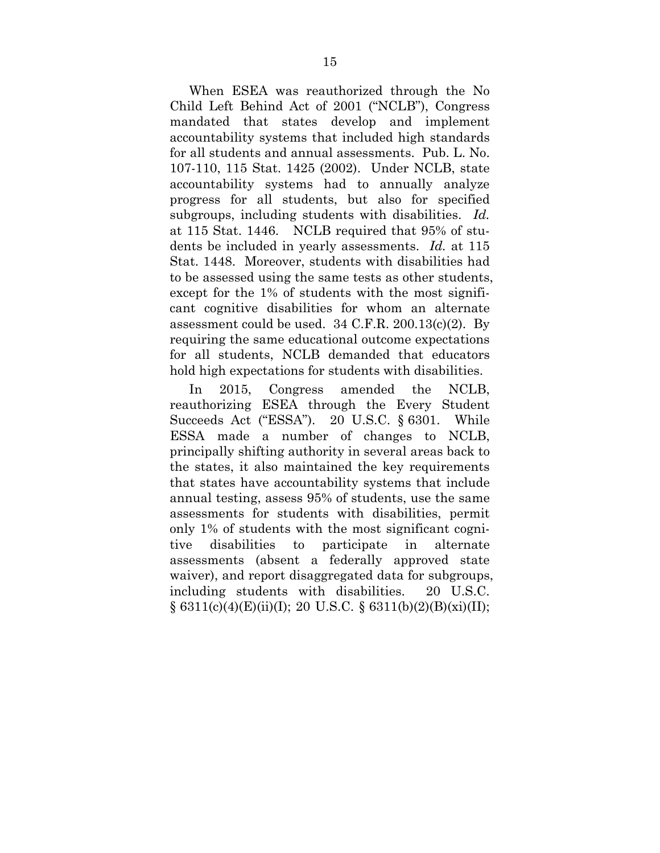When ESEA was reauthorized through the No Child Left Behind Act of 2001 ("NCLB"), Congress mandated that states develop and implement accountability systems that included high standards for all students and annual assessments. Pub. L. No. 107-110, 115 Stat. 1425 (2002). Under NCLB, state accountability systems had to annually analyze progress for all students, but also for specified subgroups, including students with disabilities. *Id.* at 115 Stat. 1446. NCLB required that 95% of students be included in yearly assessments. *Id.* at 115 Stat. 1448. Moreover, students with disabilities had to be assessed using the same tests as other students, except for the 1% of students with the most significant cognitive disabilities for whom an alternate assessment could be used. 34 C.F.R. 200.13(c)(2). By requiring the same educational outcome expectations for all students, NCLB demanded that educators hold high expectations for students with disabilities.

In 2015, Congress amended the NCLB, reauthorizing ESEA through the Every Student Succeeds Act ("ESSA"). 20 U.S.C. § 6301. While ESSA made a number of changes to NCLB, principally shifting authority in several areas back to the states, it also maintained the key requirements that states have accountability systems that include annual testing, assess 95% of students, use the same assessments for students with disabilities, permit only 1% of students with the most significant cognitive disabilities to participate in alternate assessments (absent a federally approved state waiver), and report disaggregated data for subgroups, including students with disabilities. 20 U.S.C.  $\S$  6311(c)(4)(E)(ii)(I); 20 U.S.C.  $\S$  6311(b)(2)(B)(xi)(II);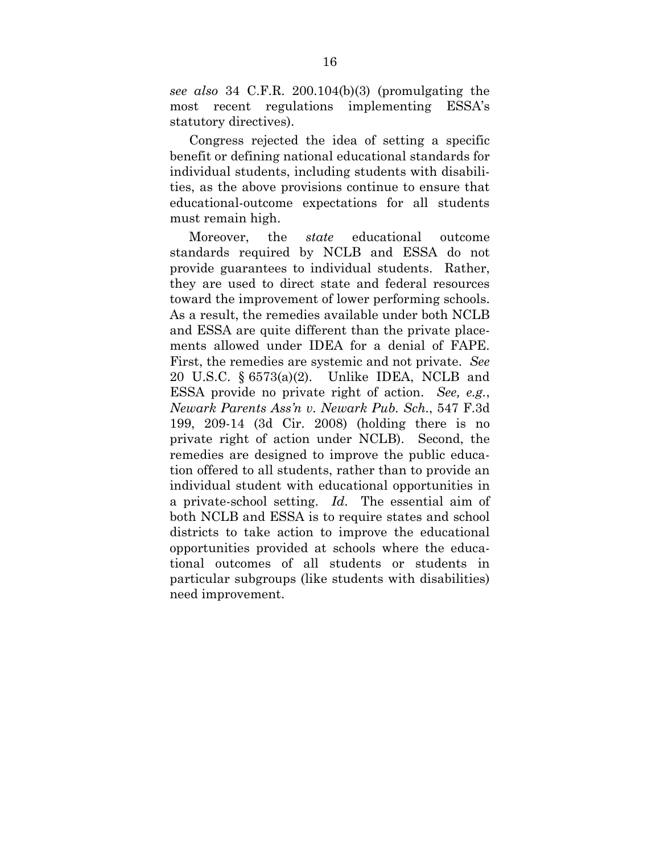*see also* 34 C.F.R. 200.104(b)(3) (promulgating the most recent regulations implementing ESSA's statutory directives).

Congress rejected the idea of setting a specific benefit or defining national educational standards for individual students, including students with disabilities, as the above provisions continue to ensure that educational-outcome expectations for all students must remain high.

Moreover, the *state* educational outcome standards required by NCLB and ESSA do not provide guarantees to individual students. Rather, they are used to direct state and federal resources toward the improvement of lower performing schools. As a result, the remedies available under both NCLB and ESSA are quite different than the private placements allowed under IDEA for a denial of FAPE. First, the remedies are systemic and not private. *See*  20 U.S.C. § 6573(a)(2). Unlike IDEA, NCLB and ESSA provide no private right of action. *See, e.g.*, *Newark Parents Ass'n v. Newark Pub. Sch.*, 547 F.3d 199, 209-14 (3d Cir. 2008) (holding there is no private right of action under NCLB). Second, the remedies are designed to improve the public education offered to all students, rather than to provide an individual student with educational opportunities in a private-school setting. *Id*. The essential aim of both NCLB and ESSA is to require states and school districts to take action to improve the educational opportunities provided at schools where the educational outcomes of all students or students in particular subgroups (like students with disabilities) need improvement.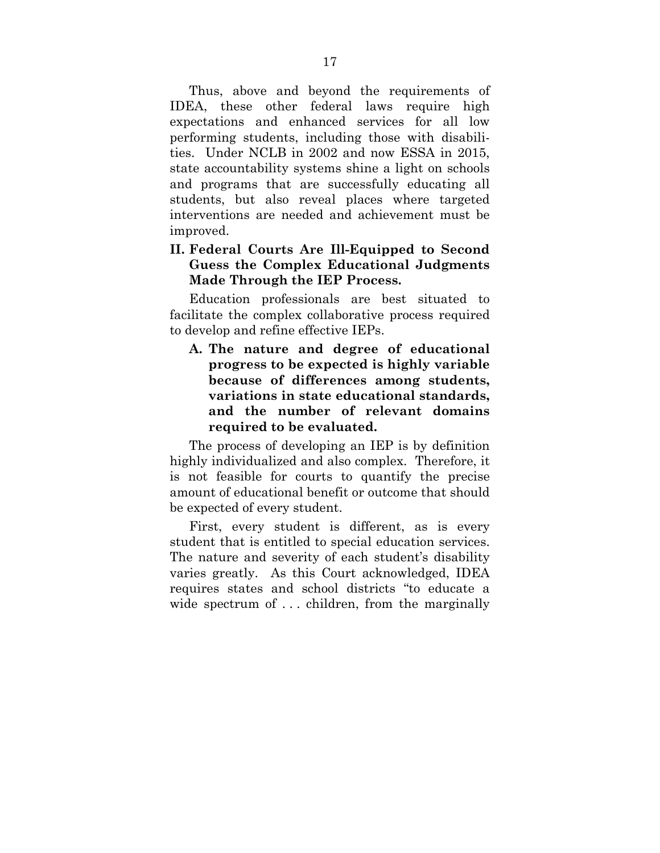Thus, above and beyond the requirements of IDEA, these other federal laws require high expectations and enhanced services for all low performing students, including those with disabilities. Under NCLB in 2002 and now ESSA in 2015, state accountability systems shine a light on schools and programs that are successfully educating all students, but also reveal places where targeted interventions are needed and achievement must be improved.

### **II. Federal Courts Are Ill-Equipped to Second Guess the Complex Educational Judgments Made Through the IEP Process.**

Education professionals are best situated to facilitate the complex collaborative process required to develop and refine effective IEPs.

**A. The nature and degree of educational progress to be expected is highly variable because of differences among students, variations in state educational standards, and the number of relevant domains required to be evaluated.** 

The process of developing an IEP is by definition highly individualized and also complex. Therefore, it is not feasible for courts to quantify the precise amount of educational benefit or outcome that should be expected of every student.

First, every student is different, as is every student that is entitled to special education services. The nature and severity of each student's disability varies greatly. As this Court acknowledged, IDEA requires states and school districts "to educate a wide spectrum of ... children, from the marginally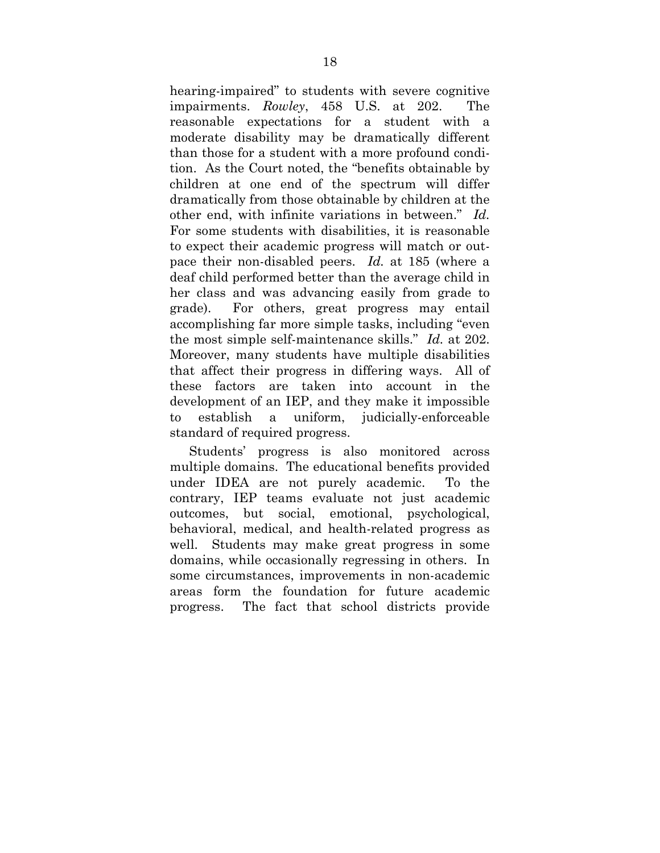hearing-impaired" to students with severe cognitive impairments. *Rowley*, 458 U.S. at 202. The reasonable expectations for a student with a moderate disability may be dramatically different than those for a student with a more profound condition. As the Court noted, the "benefits obtainable by children at one end of the spectrum will differ dramatically from those obtainable by children at the other end, with infinite variations in between." *Id.*  For some students with disabilities, it is reasonable to expect their academic progress will match or outpace their non-disabled peers. *Id.* at 185 (where a deaf child performed better than the average child in her class and was advancing easily from grade to grade). For others, great progress may entail accomplishing far more simple tasks, including "even the most simple self-maintenance skills." *Id.* at 202. Moreover, many students have multiple disabilities that affect their progress in differing ways. All of these factors are taken into account in the development of an IEP, and they make it impossible to establish a uniform, judicially-enforceable standard of required progress.

Students' progress is also monitored across multiple domains. The educational benefits provided under IDEA are not purely academic. To the contrary, IEP teams evaluate not just academic outcomes, but social, emotional, psychological, behavioral, medical, and health-related progress as well. Students may make great progress in some domains, while occasionally regressing in others. In some circumstances, improvements in non-academic areas form the foundation for future academic progress. The fact that school districts provide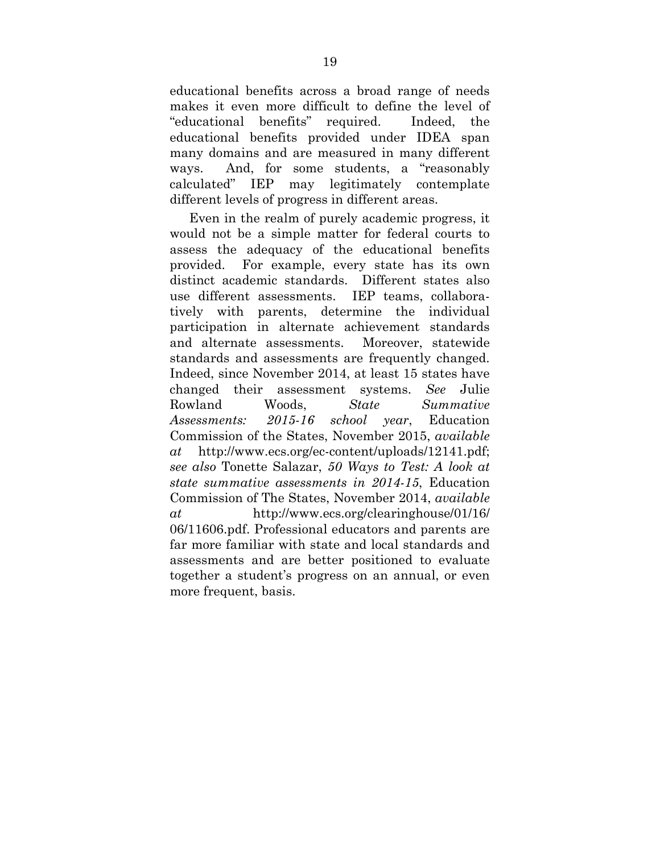educational benefits across a broad range of needs makes it even more difficult to define the level of "educational benefits" required. Indeed, the educational benefits provided under IDEA span many domains and are measured in many different ways. And, for some students, a "reasonably calculated" IEP may legitimately contemplate different levels of progress in different areas.

Even in the realm of purely academic progress, it would not be a simple matter for federal courts to assess the adequacy of the educational benefits provided. For example, every state has its own distinct academic standards. Different states also use different assessments. IEP teams, collaboratively with parents, determine the individual participation in alternate achievement standards and alternate assessments. Moreover, statewide standards and assessments are frequently changed. Indeed, since November 2014, at least 15 states have changed their assessment systems. *See* Julie Rowland Woods, *State Summative Assessments: 2015-16 school year*, Education Commission of the States, November 2015, *available at* http://www.ecs.org/ec-content/uploads/12141.pdf; *see also* Tonette Salazar, *50 Ways to Test: A look at state summative assessments in 2014-15*, Education Commission of The States, November 2014, *available at* http://www.ecs.org/clearinghouse/01/16/ 06/11606.pdf. Professional educators and parents are far more familiar with state and local standards and assessments and are better positioned to evaluate together a student's progress on an annual, or even more frequent, basis.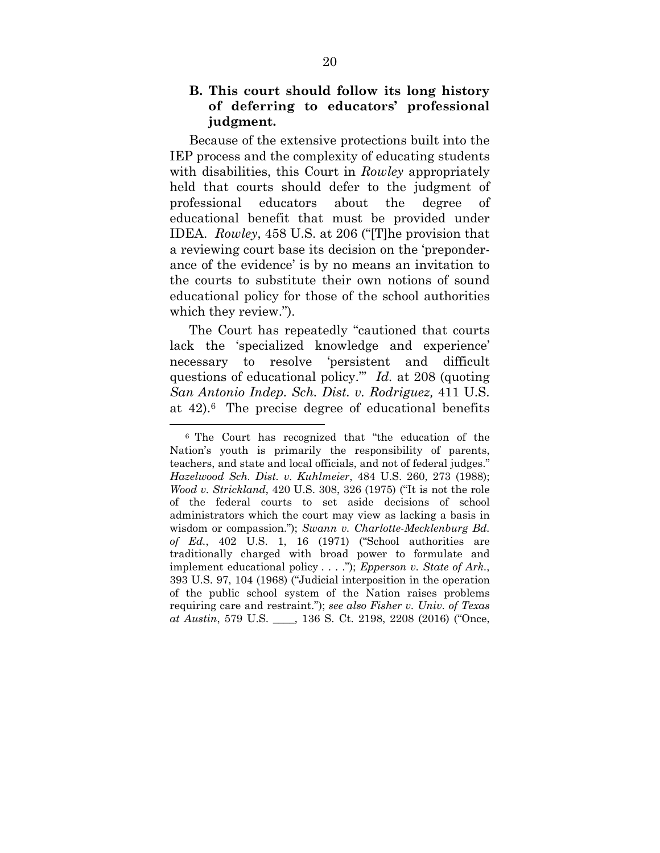#### **B. This court should follow its long history of deferring to educators' professional judgment.**

Because of the extensive protections built into the IEP process and the complexity of educating students with disabilities, this Court in *Rowley* appropriately held that courts should defer to the judgment of professional educators about the degree of educational benefit that must be provided under IDEA. *Rowley*, 458 U.S. at 206 ("[T]he provision that a reviewing court base its decision on the 'preponderance of the evidence' is by no means an invitation to the courts to substitute their own notions of sound educational policy for those of the school authorities which they review.").

The Court has repeatedly "cautioned that courts lack the 'specialized knowledge and experience' necessary to resolve 'persistent and difficult questions of educational policy.'" *Id.* at 208 (quoting *San Antonio Indep. Sch. Dist. v. Rodriguez,* 411 U.S. at 42).6 The precise degree of educational benefits

 $\overline{a}$ 

<sup>6</sup> The Court has recognized that "the education of the Nation's youth is primarily the responsibility of parents, teachers, and state and local officials, and not of federal judges." *Hazelwood Sch. Dist. v. Kuhlmeier*, 484 U.S. 260, 273 (1988); *Wood v. Strickland*, 420 U.S. 308, 326 (1975) ("It is not the role of the federal courts to set aside decisions of school administrators which the court may view as lacking a basis in wisdom or compassion."); *Swann v. Charlotte-Mecklenburg Bd. of Ed.*, 402 U.S. 1, 16 (1971) ("School authorities are traditionally charged with broad power to formulate and implement educational policy . . . ."); *Epperson v. State of Ark.*, 393 U.S. 97, 104 (1968) ("Judicial interposition in the operation of the public school system of the Nation raises problems requiring care and restraint."); *see also Fisher v. Univ. of Texas at Austin*, 579 U.S. \_\_\_\_, 136 S. Ct. 2198, 2208 (2016) ("Once,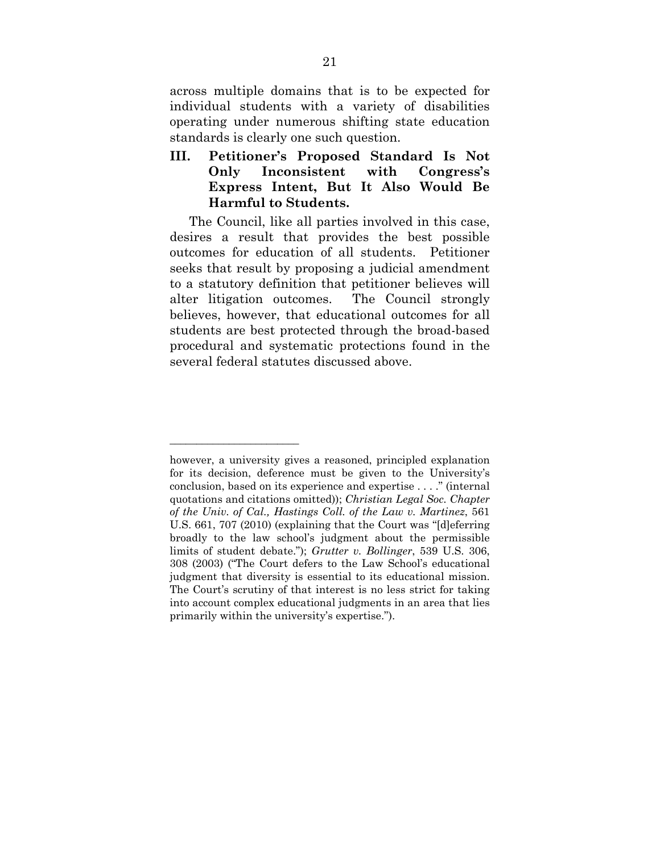across multiple domains that is to be expected for individual students with a variety of disabilities operating under numerous shifting state education standards is clearly one such question.

**III. Petitioner's Proposed Standard Is Not Only Inconsistent with Congress's Express Intent, But It Also Would Be Harmful to Students.** 

The Council, like all parties involved in this case, desires a result that provides the best possible outcomes for education of all students. Petitioner seeks that result by proposing a judicial amendment to a statutory definition that petitioner believes will alter litigation outcomes. The Council strongly believes, however, that educational outcomes for all students are best protected through the broad-based procedural and systematic protections found in the several federal statutes discussed above.

*\_\_\_\_\_\_\_\_\_\_\_\_\_\_\_\_\_\_\_\_\_\_\_\_* 

however, a university gives a reasoned, principled explanation for its decision, deference must be given to the University's conclusion, based on its experience and expertise . . . ." (internal quotations and citations omitted)); *Christian Legal Soc. Chapter of the Univ. of Cal., Hastings Coll. of the Law v. Martinez*, 561 U.S. 661, 707 (2010) (explaining that the Court was "[d]eferring broadly to the law school's judgment about the permissible limits of student debate."); *Grutter v. Bollinger*, 539 U.S. 306, 308 (2003) ("The Court defers to the Law School's educational judgment that diversity is essential to its educational mission. The Court's scrutiny of that interest is no less strict for taking into account complex educational judgments in an area that lies primarily within the university's expertise.").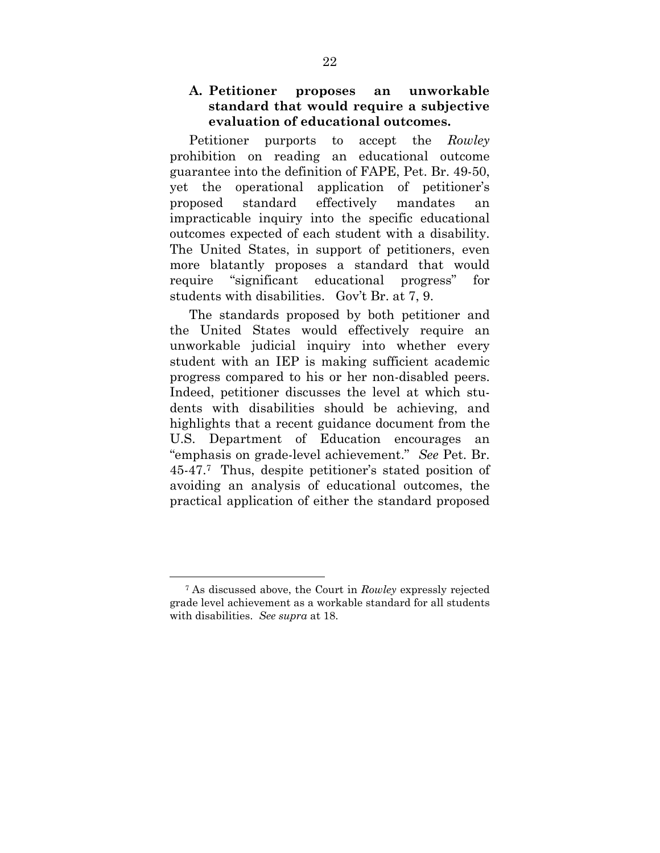#### **A. Petitioner proposes an unworkable standard that would require a subjective evaluation of educational outcomes.**

Petitioner purports to accept the *Rowley*  prohibition on reading an educational outcome guarantee into the definition of FAPE, Pet. Br. 49-50, yet the operational application of petitioner's proposed standard effectively mandates an impracticable inquiry into the specific educational outcomes expected of each student with a disability. The United States, in support of petitioners, even more blatantly proposes a standard that would require "significant educational progress" for students with disabilities. Gov't Br. at 7, 9.

The standards proposed by both petitioner and the United States would effectively require an unworkable judicial inquiry into whether every student with an IEP is making sufficient academic progress compared to his or her non-disabled peers. Indeed, petitioner discusses the level at which students with disabilities should be achieving, and highlights that a recent guidance document from the U.S. Department of Education encourages an "emphasis on grade-level achievement." *See* Pet. Br. 45-47.7 Thus, despite petitioner's stated position of avoiding an analysis of educational outcomes, the practical application of either the standard proposed

 $\overline{a}$ 

<sup>7</sup> As discussed above, the Court in *Rowley* expressly rejected grade level achievement as a workable standard for all students with disabilities. *See supra* at 18.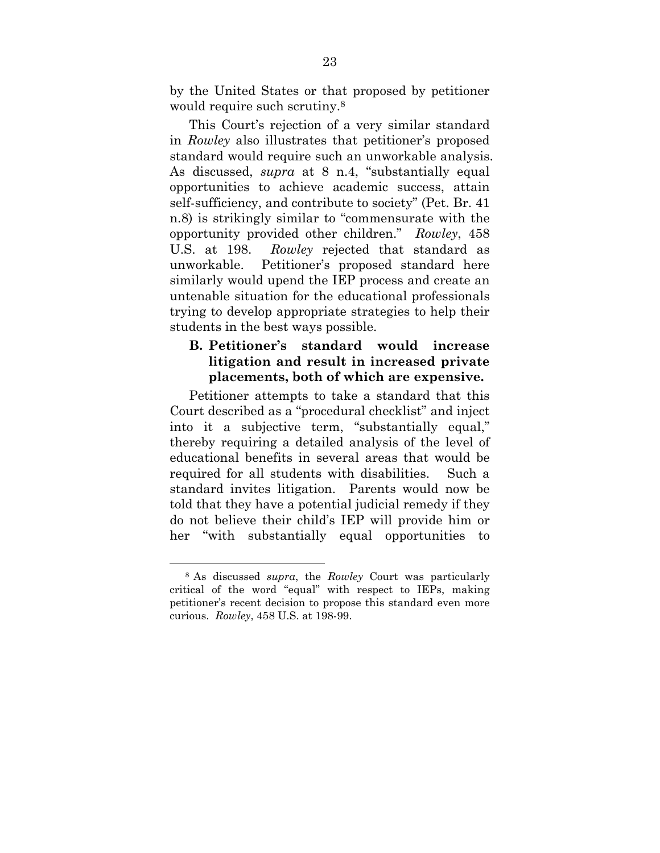by the United States or that proposed by petitioner would require such scrutiny.8

This Court's rejection of a very similar standard in *Rowley* also illustrates that petitioner's proposed standard would require such an unworkable analysis. As discussed, *supra* at 8 n.4, "substantially equal opportunities to achieve academic success, attain self-sufficiency, and contribute to society" (Pet. Br. 41 n.8) is strikingly similar to "commensurate with the opportunity provided other children." *Rowley*, 458 U.S. at 198. *Rowley* rejected that standard as unworkable. Petitioner's proposed standard here similarly would upend the IEP process and create an untenable situation for the educational professionals trying to develop appropriate strategies to help their students in the best ways possible.

### **B. Petitioner's standard would increase litigation and result in increased private placements, both of which are expensive.**

Petitioner attempts to take a standard that this Court described as a "procedural checklist" and inject into it a subjective term, "substantially equal," thereby requiring a detailed analysis of the level of educational benefits in several areas that would be required for all students with disabilities. Such a standard invites litigation. Parents would now be told that they have a potential judicial remedy if they do not believe their child's IEP will provide him or her "with substantially equal opportunities to

1

<sup>8</sup> As discussed *supra*, the *Rowley* Court was particularly critical of the word "equal" with respect to IEPs, making petitioner's recent decision to propose this standard even more curious. *Rowley*, 458 U.S. at 198-99.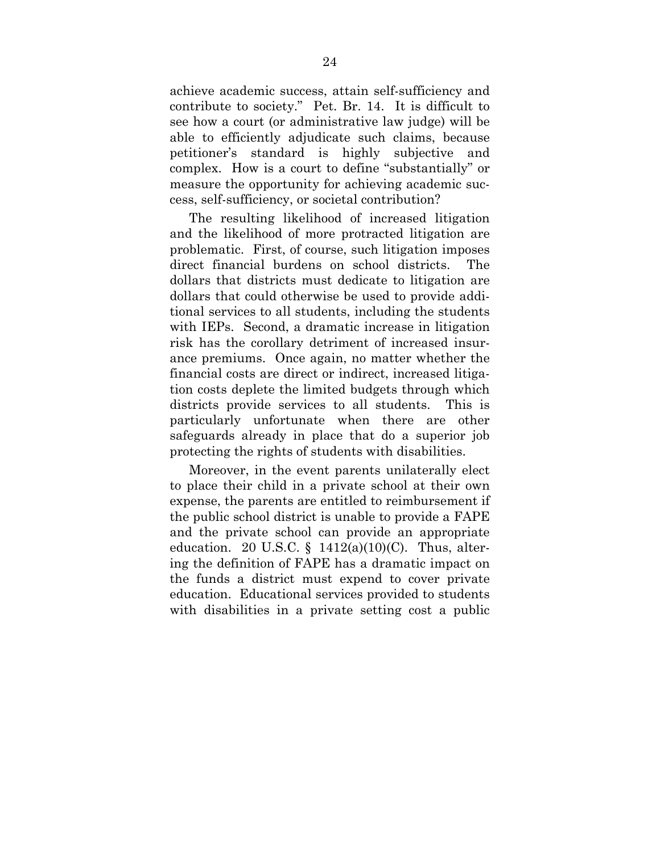achieve academic success, attain self-sufficiency and contribute to society." Pet. Br. 14. It is difficult to see how a court (or administrative law judge) will be able to efficiently adjudicate such claims, because petitioner's standard is highly subjective and complex. How is a court to define "substantially" or measure the opportunity for achieving academic success, self-sufficiency, or societal contribution?

The resulting likelihood of increased litigation and the likelihood of more protracted litigation are problematic. First, of course, such litigation imposes direct financial burdens on school districts. The dollars that districts must dedicate to litigation are dollars that could otherwise be used to provide additional services to all students, including the students with IEPs. Second, a dramatic increase in litigation risk has the corollary detriment of increased insurance premiums. Once again, no matter whether the financial costs are direct or indirect, increased litigation costs deplete the limited budgets through which districts provide services to all students. This is particularly unfortunate when there are other safeguards already in place that do a superior job protecting the rights of students with disabilities.

Moreover, in the event parents unilaterally elect to place their child in a private school at their own expense, the parents are entitled to reimbursement if the public school district is unable to provide a FAPE and the private school can provide an appropriate education. 20 U.S.C.  $\S$  1412(a)(10)(C). Thus, altering the definition of FAPE has a dramatic impact on the funds a district must expend to cover private education. Educational services provided to students with disabilities in a private setting cost a public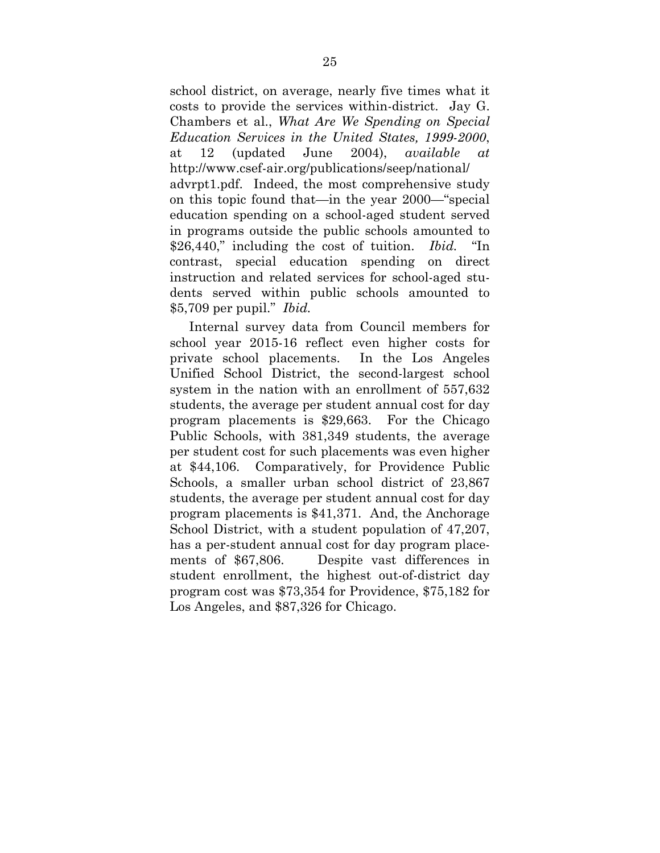school district, on average, nearly five times what it costs to provide the services within-district. Jay G. Chambers et al., *What Are We Spending on Special Education Services in the United States, 1999-2000*, at 12 (updated June 2004), *available at* http://www.csef-air.org/publications/seep/national/ advrpt1.pdf. Indeed, the most comprehensive study on this topic found that—in the year 2000—"special education spending on a school-aged student served in programs outside the public schools amounted to \$26,440," including the cost of tuition. *Ibid.* "In contrast, special education spending on direct instruction and related services for school-aged students served within public schools amounted to \$5,709 per pupil." *Ibid.*

Internal survey data from Council members for school year 2015-16 reflect even higher costs for private school placements. In the Los Angeles Unified School District, the second-largest school system in the nation with an enrollment of 557,632 students, the average per student annual cost for day program placements is \$29,663. For the Chicago Public Schools, with 381,349 students, the average per student cost for such placements was even higher at \$44,106. Comparatively, for Providence Public Schools, a smaller urban school district of 23,867 students, the average per student annual cost for day program placements is \$41,371. And, the Anchorage School District, with a student population of 47,207, has a per-student annual cost for day program placements of \$67,806. Despite vast differences in student enrollment, the highest out-of-district day program cost was \$73,354 for Providence, \$75,182 for Los Angeles, and \$87,326 for Chicago.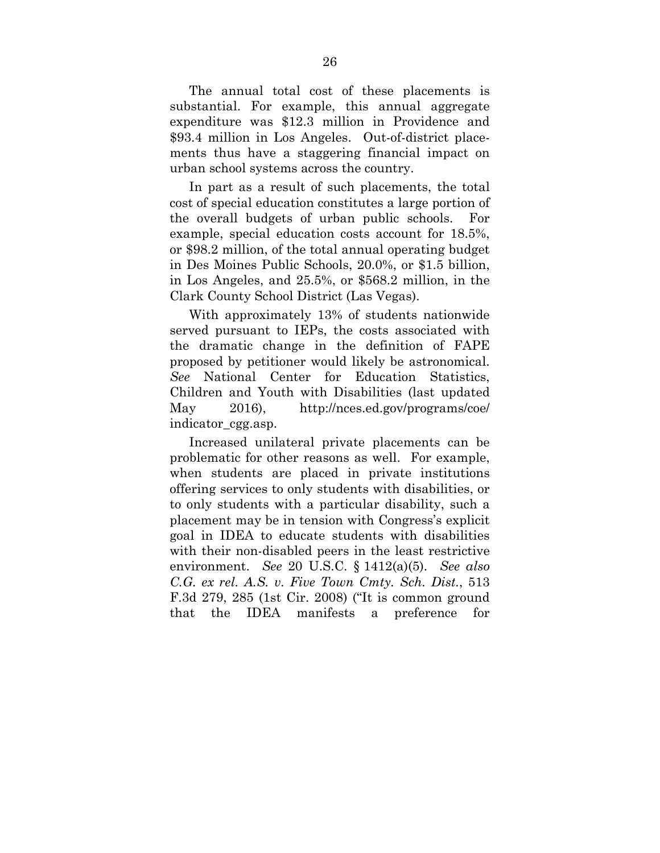The annual total cost of these placements is substantial. For example, this annual aggregate expenditure was \$12.3 million in Providence and \$93.4 million in Los Angeles. Out-of-district placements thus have a staggering financial impact on urban school systems across the country.

In part as a result of such placements, the total cost of special education constitutes a large portion of the overall budgets of urban public schools. For example, special education costs account for 18.5%, or \$98.2 million, of the total annual operating budget in Des Moines Public Schools, 20.0%, or \$1.5 billion, in Los Angeles, and 25.5%, or \$568.2 million, in the Clark County School District (Las Vegas).

With approximately 13% of students nationwide served pursuant to IEPs, the costs associated with the dramatic change in the definition of FAPE proposed by petitioner would likely be astronomical. *See* National Center for Education Statistics, Children and Youth with Disabilities (last updated May 2016), http://nces.ed.gov/programs/coe/ indicator\_cgg.asp.

Increased unilateral private placements can be problematic for other reasons as well. For example, when students are placed in private institutions offering services to only students with disabilities, or to only students with a particular disability, such a placement may be in tension with Congress's explicit goal in IDEA to educate students with disabilities with their non-disabled peers in the least restrictive environment. *See* 20 U.S.C. § 1412(a)(5). *See also C.G. ex rel. A.S. v. Five Town Cmty. Sch. Dist.*, 513 F.3d 279, 285 (1st Cir. 2008) ("It is common ground that the IDEA manifests a preference for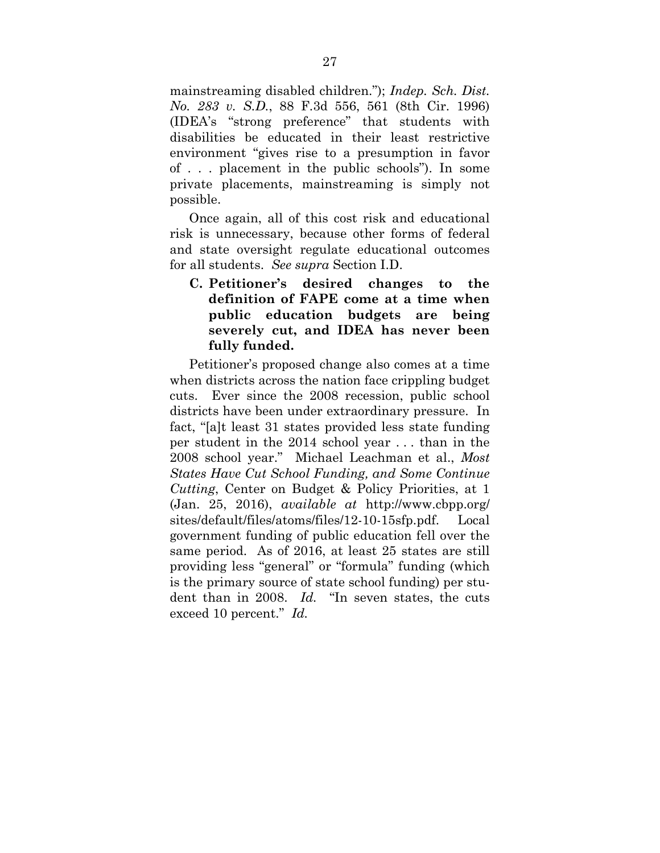mainstreaming disabled children."); *Indep. Sch. Dist. No. 283 v. S.D.*, 88 F.3d 556, 561 (8th Cir. 1996) (IDEA's "strong preference" that students with disabilities be educated in their least restrictive environment "gives rise to a presumption in favor of . . . placement in the public schools"). In some private placements, mainstreaming is simply not possible.

Once again, all of this cost risk and educational risk is unnecessary, because other forms of federal and state oversight regulate educational outcomes for all students. *See supra* Section I.D.

 **C. Petitioner's desired changes to the definition of FAPE come at a time when public education budgets are being severely cut, and IDEA has never been fully funded.** 

Petitioner's proposed change also comes at a time when districts across the nation face crippling budget cuts. Ever since the 2008 recession, public school districts have been under extraordinary pressure. In fact, "[a]t least 31 states provided less state funding per student in the 2014 school year . . . than in the 2008 school year." Michael Leachman et al., *Most States Have Cut School Funding, and Some Continue Cutting*, Center on Budget & Policy Priorities, at 1 (Jan. 25, 2016), *available at* http://www.cbpp.org/ sites/default/files/atoms/files/12-10-15sfp.pdf. Local government funding of public education fell over the same period. As of 2016, at least 25 states are still providing less "general" or "formula" funding (which is the primary source of state school funding) per student than in 2008. *Id.* "In seven states, the cuts exceed 10 percent." *Id.*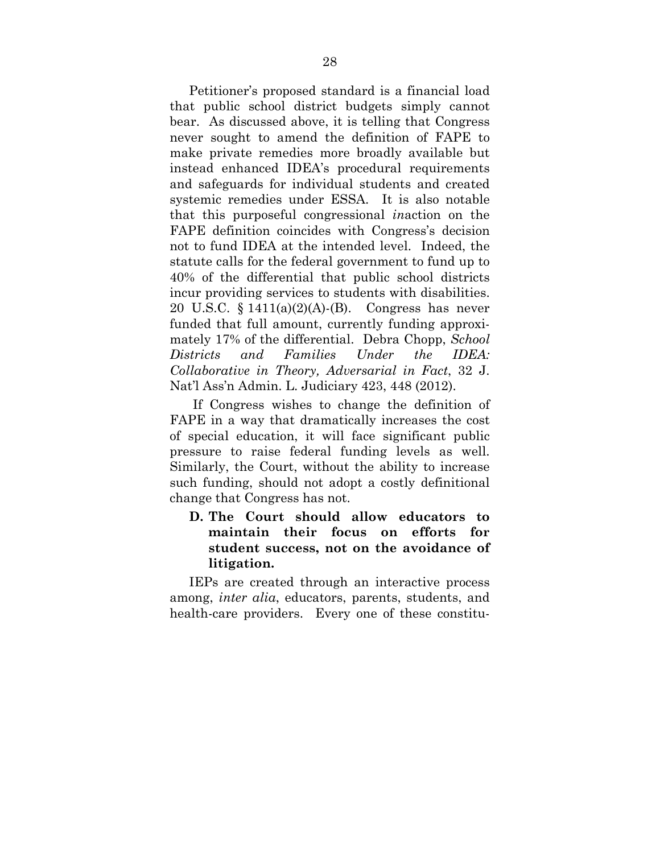Petitioner's proposed standard is a financial load that public school district budgets simply cannot bear. As discussed above, it is telling that Congress never sought to amend the definition of FAPE to make private remedies more broadly available but instead enhanced IDEA's procedural requirements and safeguards for individual students and created systemic remedies under ESSA. It is also notable that this purposeful congressional *in*action on the FAPE definition coincides with Congress's decision not to fund IDEA at the intended level. Indeed, the statute calls for the federal government to fund up to 40% of the differential that public school districts incur providing services to students with disabilities. 20 U.S.C. § 1411(a)(2)(A)-(B). Congress has never funded that full amount, currently funding approximately 17% of the differential. Debra Chopp, *School Districts and Families Under the IDEA: Collaborative in Theory, Adversarial in Fact*, 32 J. Nat'l Ass'n Admin. L. Judiciary 423, 448 (2012).

 If Congress wishes to change the definition of FAPE in a way that dramatically increases the cost of special education, it will face significant public pressure to raise federal funding levels as well. Similarly, the Court, without the ability to increase such funding, should not adopt a costly definitional change that Congress has not.

### **D. The Court should allow educators to maintain their focus on efforts for student success, not on the avoidance of litigation.**

IEPs are created through an interactive process among, *inter alia*, educators, parents, students, and health-care providers. Every one of these constitu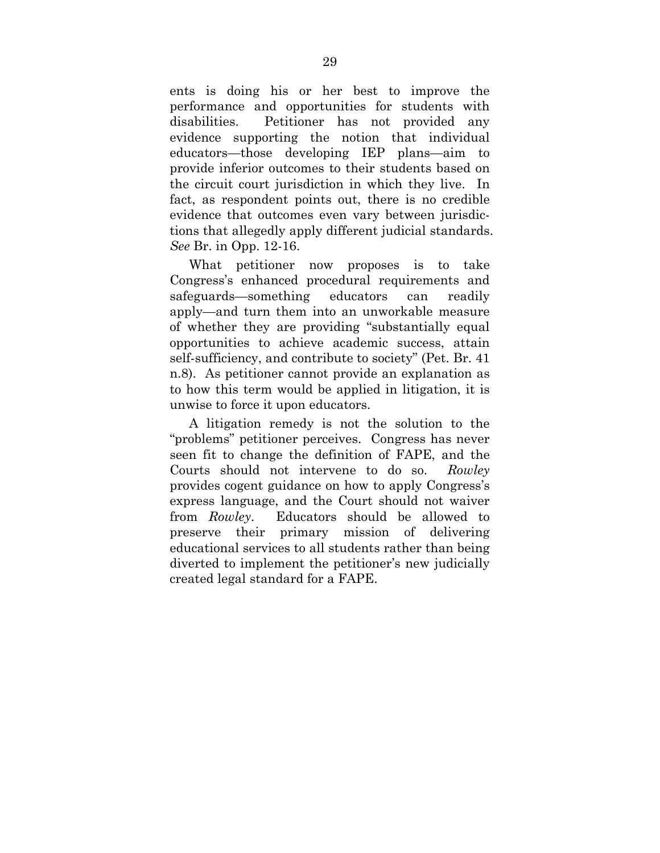ents is doing his or her best to improve the performance and opportunities for students with disabilities. Petitioner has not provided any evidence supporting the notion that individual educators—those developing IEP plans—aim to provide inferior outcomes to their students based on the circuit court jurisdiction in which they live. In fact, as respondent points out, there is no credible evidence that outcomes even vary between jurisdictions that allegedly apply different judicial standards. *See* Br. in Opp. 12-16.

What petitioner now proposes is to take Congress's enhanced procedural requirements and safeguards—something educators can readily apply—and turn them into an unworkable measure of whether they are providing "substantially equal opportunities to achieve academic success, attain self-sufficiency, and contribute to society" (Pet. Br. 41 n.8). As petitioner cannot provide an explanation as to how this term would be applied in litigation, it is unwise to force it upon educators.

A litigation remedy is not the solution to the "problems" petitioner perceives. Congress has never seen fit to change the definition of FAPE, and the Courts should not intervene to do so. *Rowley* provides cogent guidance on how to apply Congress's express language, and the Court should not waiver from *Rowley*. Educators should be allowed to preserve their primary mission of delivering educational services to all students rather than being diverted to implement the petitioner's new judicially created legal standard for a FAPE.